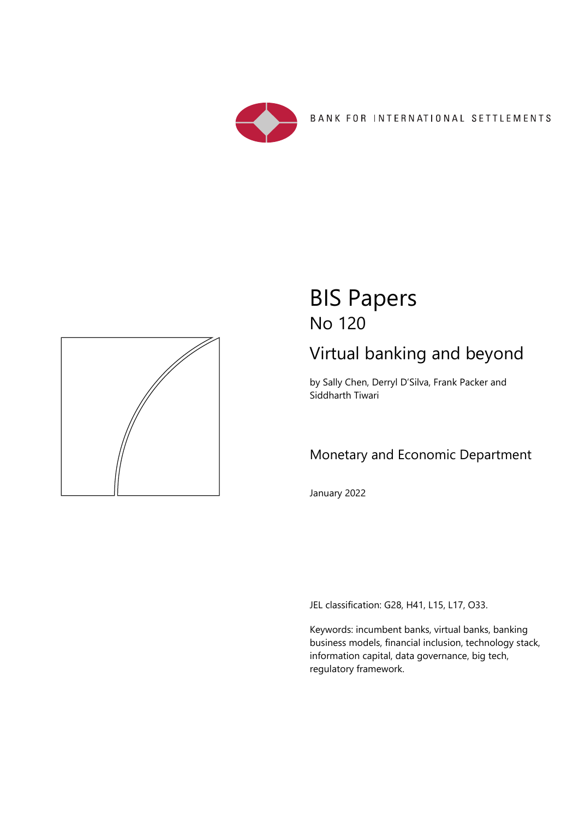

BANK FOR INTERNATIONAL SETTLEMENTS



# BIS Papers No 120

# Virtual banking and beyond

by Sally Chen, Derryl D'Silva, Frank Packer and Siddharth Tiwari

# Monetary and Economic Department

January 2022

JEL classification: G28, H41, L15, L17, O33.

Keywords: incumbent banks, virtual banks, banking business models, financial inclusion, technology stack, information capital, data governance, big tech, regulatory framework.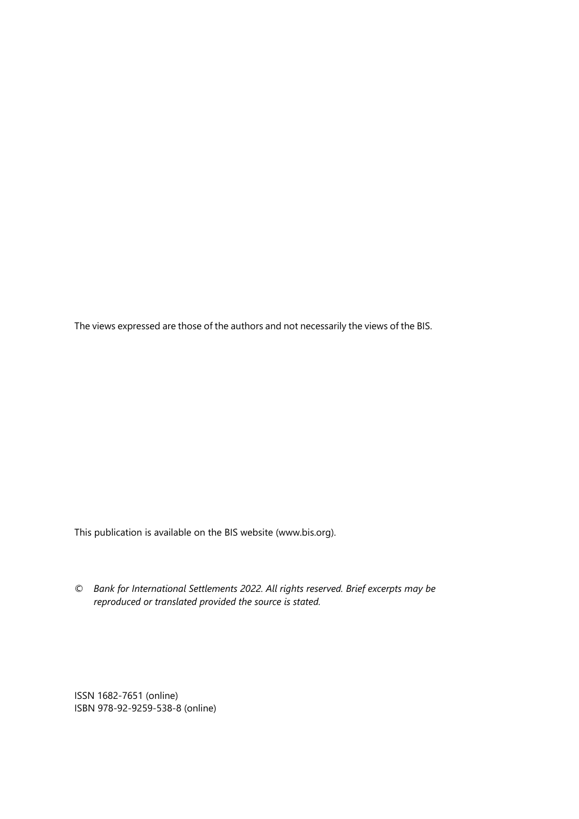The views expressed are those of the authors and not necessarily the views of the BIS.

This publication is available on the BIS website (www.bis.org).

*© Bank for International Settlements 2022. All rights reserved. Brief excerpts may be reproduced or translated provided the source is stated.* 

ISSN 1682-7651 (online) ISBN 978-92-9259-538-8 (online)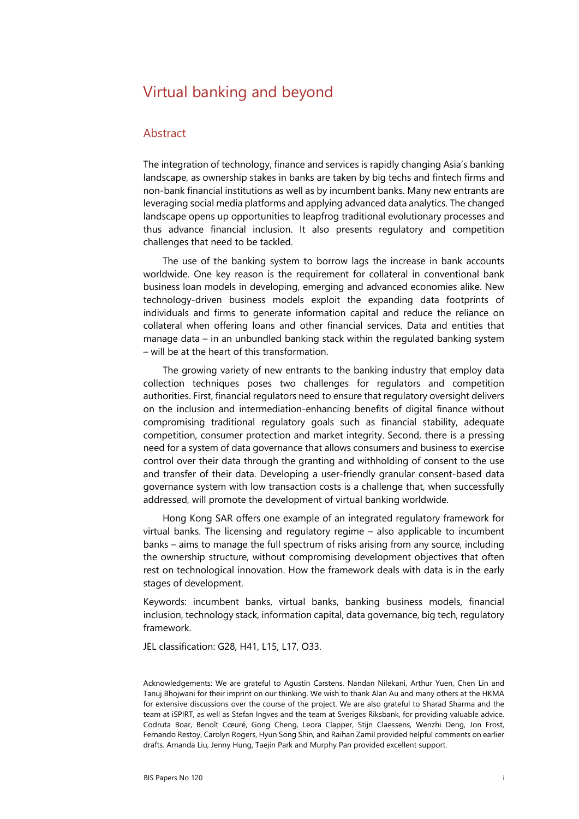# Virtual banking and beyond

#### Abstract

The integration of technology, finance and services is rapidly changing Asia's banking landscape, as ownership stakes in banks are taken by big techs and fintech firms and non-bank financial institutions as well as by incumbent banks. Many new entrants are leveraging social media platforms and applying advanced data analytics. The changed landscape opens up opportunities to leapfrog traditional evolutionary processes and thus advance financial inclusion. It also presents regulatory and competition challenges that need to be tackled.

The use of the banking system to borrow lags the increase in bank accounts worldwide. One key reason is the requirement for collateral in conventional bank business loan models in developing, emerging and advanced economies alike. New technology-driven business models exploit the expanding data footprints of individuals and firms to generate information capital and reduce the reliance on collateral when offering loans and other financial services. Data and entities that manage data – in an unbundled banking stack within the regulated banking system – will be at the heart of this transformation.

The growing variety of new entrants to the banking industry that employ data collection techniques poses two challenges for regulators and competition authorities. First, financial regulators need to ensure that regulatory oversight delivers on the inclusion and intermediation-enhancing benefits of digital finance without compromising traditional regulatory goals such as financial stability, adequate competition, consumer protection and market integrity. Second, there is a pressing need for a system of data governance that allows consumers and business to exercise control over their data through the granting and withholding of consent to the use and transfer of their data. Developing a user-friendly granular consent-based data governance system with low transaction costs is a challenge that, when successfully addressed, will promote the development of virtual banking worldwide.

Hong Kong SAR offers one example of an integrated regulatory framework for virtual banks. The licensing and regulatory regime – also applicable to incumbent banks – aims to manage the full spectrum of risks arising from any source, including the ownership structure, without compromising development objectives that often rest on technological innovation. How the framework deals with data is in the early stages of development.

Keywords: incumbent banks, virtual banks, banking business models, financial inclusion, technology stack, information capital, data governance, big tech, regulatory framework.

JEL classification: G28, H4[1](#page-2-0), L15, L17, O33.

<span id="page-2-0"></span>Acknowledgements: We are grateful to Agustín Carstens, Nandan Nilekani, Arthur Yuen, Chen Lin and Tanuj Bhojwani for their imprint on our thinking. We wish to thank Alan Au and many others at the HKMA for extensive discussions over the course of the project. We are also grateful to Sharad Sharma and the team at iSPIRT, as well as Stefan Ingves and the team at Sveriges Riksbank, for providing valuable advice. Codruta Boar, Benoît Cœuré, Gong Cheng, Leora Clapper, Stijn Claessens, Wenzhi Deng, Jon Frost, Fernando Restoy, Carolyn Rogers, Hyun Song Shin, and Raihan Zamil provided helpful comments on earlier drafts. Amanda Liu, Jenny Hung, Taejin Park and Murphy Pan provided excellent support.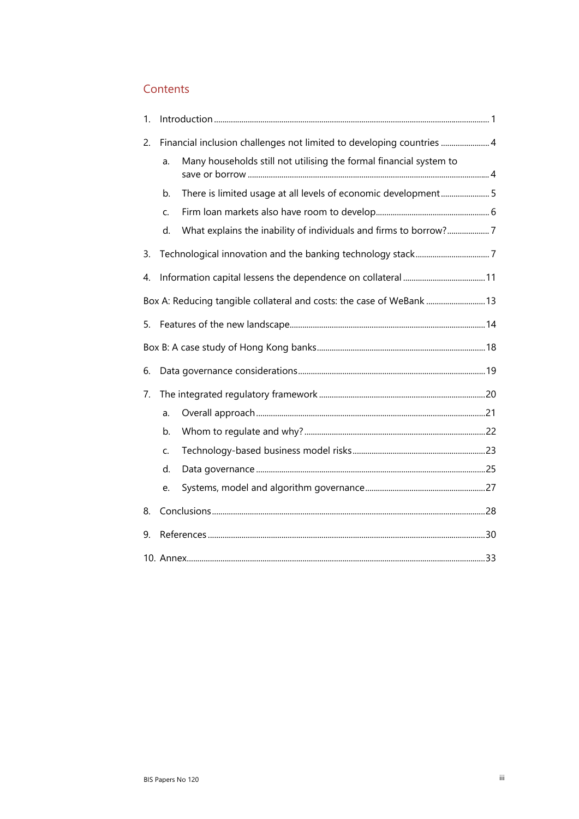### **Contents**

| 1. |    |                                                                       |  |
|----|----|-----------------------------------------------------------------------|--|
| 2. |    | Financial inclusion challenges not limited to developing countries  4 |  |
|    | a. | Many households still not utilising the formal financial system to    |  |
|    | b. | There is limited usage at all levels of economic development5         |  |
|    | C. |                                                                       |  |
|    | d. | What explains the inability of individuals and firms to borrow?7      |  |
| 3. |    |                                                                       |  |
| 4. |    |                                                                       |  |
|    |    | Box A: Reducing tangible collateral and costs: the case of WeBank  13 |  |
| 5. |    |                                                                       |  |
|    |    |                                                                       |  |
| 6. |    |                                                                       |  |
| 7. |    |                                                                       |  |
|    | a. |                                                                       |  |
|    | b. |                                                                       |  |
|    | C. |                                                                       |  |
|    | d. |                                                                       |  |
|    | e. |                                                                       |  |
| 8. |    |                                                                       |  |
| 9. |    |                                                                       |  |
|    |    |                                                                       |  |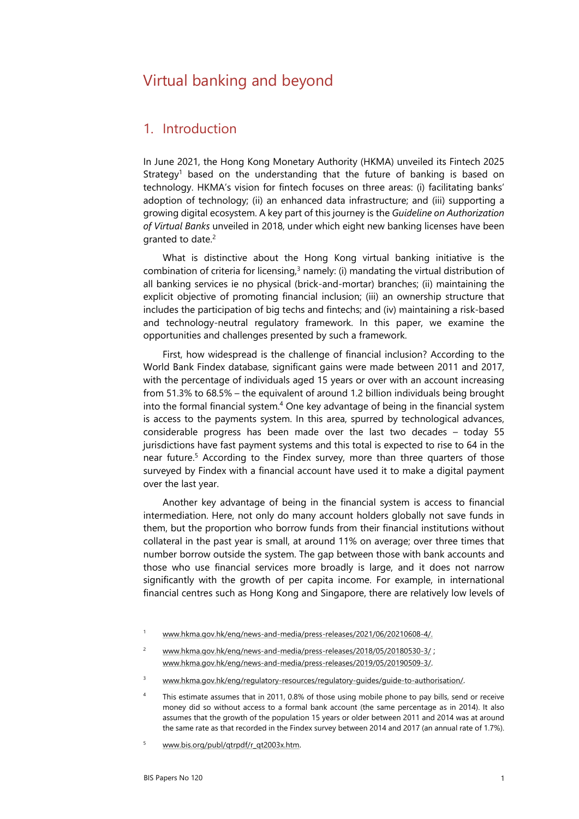# Virtual banking and beyond

### <span id="page-6-0"></span>1. Introduction

In June 2021, the Hong Kong Monetary Authority (HKMA) unveiled its Fintech 2025 Strategy<sup>1</sup> based on the understanding that the future of banking is based on technology. HKMA's vision for fintech focuses on three areas: (i) facilitating banks' adoption of technology; (ii) an enhanced data infrastructure; and (iii) supporting a growing digital ecosystem. A key part of this journey is the *Guideline on Authorization of Virtual Banks* unveiled in 2018, under which eight new banking licenses have been granted to date.<sup>[2](#page-6-4)</sup>

What is distinctive about the Hong Kong virtual banking initiative is the combination of criteria for licensing, $3$  namely: (i) mandating the virtual distribution of all banking services ie no physical (brick-and-mortar) branches; (ii) maintaining the explicit objective of promoting financial inclusion; (iii) an ownership structure that includes the participation of big techs and fintechs; and (iv) maintaining a risk-based and technology-neutral regulatory framework. In this paper, we examine the opportunities and challenges presented by such a framework.

First, how widespread is the challenge of financial inclusion? According to the World Bank Findex database, significant gains were made between 2011 and 2017, with the percentage of individuals aged 15 years or over with an account increasing from 51.3% to 68.5% – the equivalent of around 1.2 billion individuals being brought into the formal financial system. $4$  One key advantage of being in the financial system is access to the payments system. In this area, spurred by technological advances, considerable progress has been made over the last two decades – today 55 jurisdictions have fast payment systems and this total is expected to rise to 64 in the near future.[5](#page-6-1) According to the Findex survey, more than three quarters of those surveyed by Findex with a financial account have used it to make a digital payment over the last year.

Another key advantage of being in the financial system is access to financial intermediation. Here, not only do many account holders globally not save funds in them, but the proportion who borrow funds from their financial institutions without collateral in the past year is small, at around 11% on average; over three times that number borrow outside the system. The gap between those with bank accounts and those who use financial services more broadly is large, and it does not narrow significantly with the growth of per capita income. For example, in international financial centres such as Hong Kong and Singapore, there are relatively low levels of

<span id="page-6-5"></span><sup>1</sup> [www.hkma.gov.hk/eng/news-and-media/press-releases/2021/06/20210608-4/.](http://www.hkma.gov.hk/eng/news-and-media/press-releases/2021/06/20210608-4/) 

<span id="page-6-4"></span><sup>2</sup> [www.hkma.gov.hk/eng/news-and-media/press-releases/2018/05/20180530-3/ ;](http://www.hkma.gov.hk/eng/news-and-media/press-releases/2018/05/20180530-3/) [www.hkma.gov.hk/eng/news-and-media/press-releases/2019/05/20190509-3/.](http://www.hkma.gov.hk/eng/news-and-media/press-releases/2019/05/20190509-3/)

<span id="page-6-3"></span><sup>3</sup> [www.hkma.gov.hk/eng/regulatory-resources/regulatory-guides/guide-to-authorisation/.](http://www.hkma.gov.hk/eng/regulatory-resources/regulatory-guides/guide-to-authorisation/)

<span id="page-6-2"></span><sup>4</sup> This estimate assumes that in 2011, 0.8% of those using mobile phone to pay bills, send or receive money did so without access to a formal bank account (the same percentage as in 2014). It also assumes that the growth of the population 15 years or older between 2011 and 2014 was at around the same rate as that recorded in the Findex survey between 2014 and 2017 (an annual rate of 1.7%).

<span id="page-6-1"></span><sup>5</sup> [www.bis.org/publ/qtrpdf/r\\_qt2003x.htm.](http://www.bis.org/publ/qtrpdf/r_qt2003x.htm)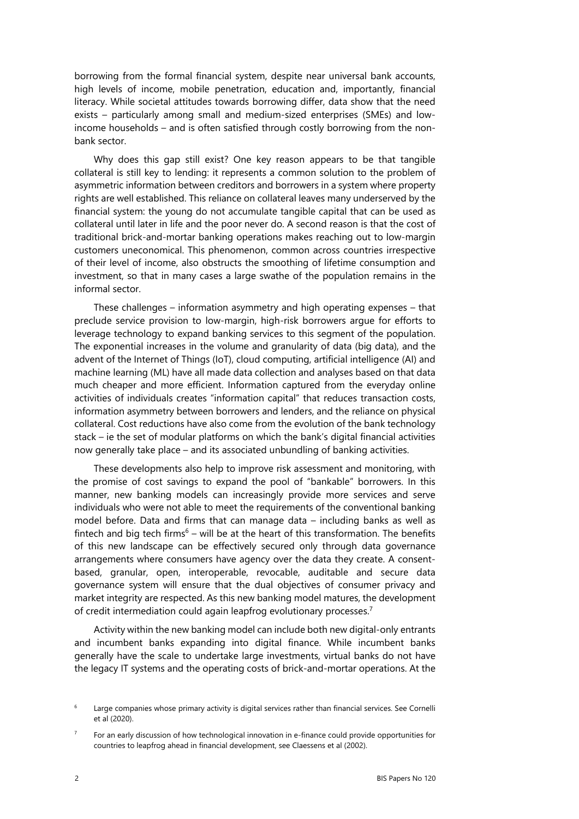borrowing from the formal financial system, despite near universal bank accounts, high levels of income, mobile penetration, education and, importantly, financial literacy. While societal attitudes towards borrowing differ, data show that the need exists – particularly among small and medium-sized enterprises (SMEs) and lowincome households – and is often satisfied through costly borrowing from the nonbank sector.

Why does this gap still exist? One key reason appears to be that tangible collateral is still key to lending: it represents a common solution to the problem of asymmetric information between creditors and borrowers in a system where property rights are well established. This reliance on collateral leaves many underserved by the financial system: the young do not accumulate tangible capital that can be used as collateral until later in life and the poor never do. A second reason is that the cost of traditional brick-and-mortar banking operations makes reaching out to low-margin customers uneconomical. This phenomenon, common across countries irrespective of their level of income, also obstructs the smoothing of lifetime consumption and investment, so that in many cases a large swathe of the population remains in the informal sector.

These challenges – information asymmetry and high operating expenses – that preclude service provision to low-margin, high-risk borrowers argue for efforts to leverage technology to expand banking services to this segment of the population. The exponential increases in the volume and granularity of data (big data), and the advent of the Internet of Things (IoT), cloud computing, artificial intelligence (AI) and machine learning (ML) have all made data collection and analyses based on that data much cheaper and more efficient. Information captured from the everyday online activities of individuals creates "information capital" that reduces transaction costs, information asymmetry between borrowers and lenders, and the reliance on physical collateral. Cost reductions have also come from the evolution of the bank technology stack – ie the set of modular platforms on which the bank's digital financial activities now generally take place – and its associated unbundling of banking activities.

These developments also help to improve risk assessment and monitoring, with the promise of cost savings to expand the pool of "bankable" borrowers. In this manner, new banking models can increasingly provide more services and serve individuals who were not able to meet the requirements of the conventional banking model before. Data and firms that can manage data – including banks as well as fintech and big tech firms<sup>[6](#page-7-1)</sup> – will be at the heart of this transformation. The benefits of this new landscape can be effectively secured only through data governance arrangements where consumers have agency over the data they create. A consentbased, granular, open, interoperable, revocable, auditable and secure data governance system will ensure that the dual objectives of consumer privacy and market integrity are respected. As this new banking model matures, the development of credit intermediation could again leapfrog evolutionary processes.<sup>7</sup>

Activity within the new banking model can include both new digital-only entrants and incumbent banks expanding into digital finance. While incumbent banks generally have the scale to undertake large investments, virtual banks do not have the legacy IT systems and the operating costs of brick-and-mortar operations. At the

<span id="page-7-1"></span><sup>6</sup> Large companies whose primary activity is digital services rather than financial services. See Cornelli et al (2020).

<span id="page-7-0"></span><sup>7</sup> For an early discussion of how technological innovation in e-finance could provide opportunities for countries to leapfrog ahead in financial development, see Claessens et al (2002).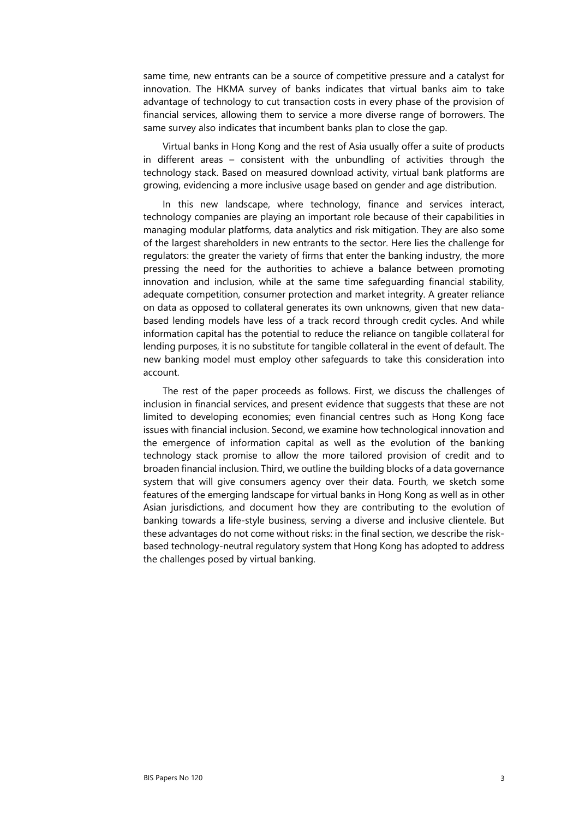same time, new entrants can be a source of competitive pressure and a catalyst for innovation. The HKMA survey of banks indicates that virtual banks aim to take advantage of technology to cut transaction costs in every phase of the provision of financial services, allowing them to service a more diverse range of borrowers. The same survey also indicates that incumbent banks plan to close the gap.

Virtual banks in Hong Kong and the rest of Asia usually offer a suite of products in different areas – consistent with the unbundling of activities through the technology stack. Based on measured download activity, virtual bank platforms are growing, evidencing a more inclusive usage based on gender and age distribution.

In this new landscape, where technology, finance and services interact, technology companies are playing an important role because of their capabilities in managing modular platforms, data analytics and risk mitigation. They are also some of the largest shareholders in new entrants to the sector. Here lies the challenge for regulators: the greater the variety of firms that enter the banking industry, the more pressing the need for the authorities to achieve a balance between promoting innovation and inclusion, while at the same time safeguarding financial stability, adequate competition, consumer protection and market integrity. A greater reliance on data as opposed to collateral generates its own unknowns, given that new databased lending models have less of a track record through credit cycles. And while information capital has the potential to reduce the reliance on tangible collateral for lending purposes, it is no substitute for tangible collateral in the event of default. The new banking model must employ other safeguards to take this consideration into account.

The rest of the paper proceeds as follows. First, we discuss the challenges of inclusion in financial services, and present evidence that suggests that these are not limited to developing economies; even financial centres such as Hong Kong face issues with financial inclusion. Second, we examine how technological innovation and the emergence of information capital as well as the evolution of the banking technology stack promise to allow the more tailored provision of credit and to broaden financial inclusion. Third, we outline the building blocks of a data governance system that will give consumers agency over their data. Fourth, we sketch some features of the emerging landscape for virtual banks in Hong Kong as well as in other Asian jurisdictions, and document how they are contributing to the evolution of banking towards a life-style business, serving a diverse and inclusive clientele. But these advantages do not come without risks: in the final section, we describe the riskbased technology-neutral regulatory system that Hong Kong has adopted to address the challenges posed by virtual banking.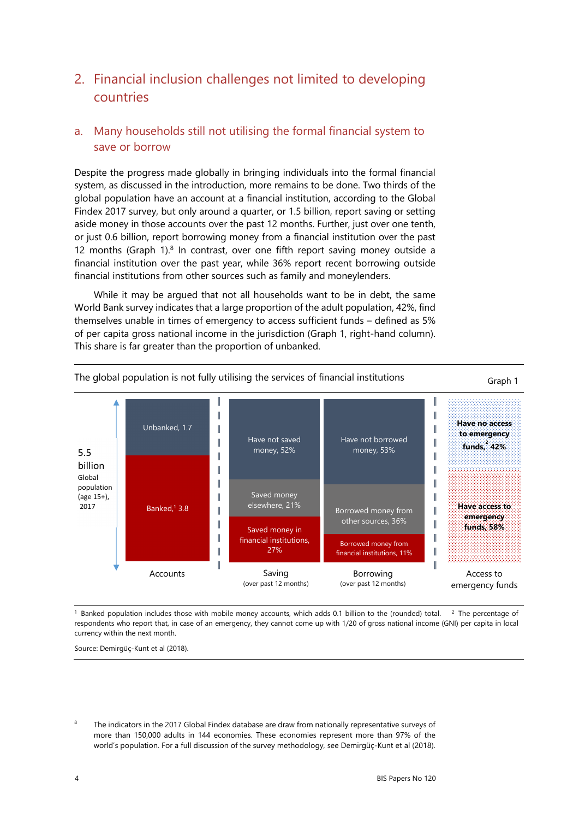# <span id="page-9-1"></span>2. Financial inclusion challenges not limited to developing countries

## <span id="page-9-0"></span>a. Many households still not utilising the formal financial system to save or borrow

Despite the progress made globally in bringing individuals into the formal financial system, as discussed in the introduction, more remains to be done. Two thirds of the global population have an account at a financial institution, according to the Global Findex 2017 survey, but only around a quarter, or 1.5 billion, report saving or setting aside money in those accounts over the past 12 months. Further, just over one tenth, or just 0.6 billion, report borrowing money from a financial institution over the past 12 months (Graph 1). $8$  In contrast, over one fifth report saving money outside a financial institution over the past year, while 36% report recent borrowing outside financial institutions from other sources such as family and moneylenders.

While it may be argued that not all households want to be in debt, the same World Bank survey indicates that a large proportion of the adult population, 42%, find themselves unable in times of emergency to access sufficient funds – defined as 5% of per capita gross national income in the jurisdiction (Graph 1, right-hand column). This share is far greater than the proportion of unbanked.



<sup>1</sup> Banked population includes those with mobile money accounts, which adds 0.1 billion to the (rounded) total. <sup>2</sup> The percentage of respondents who report that, in case of an emergency, they cannot come up with 1/20 of gross national income (GNI) per capita in local currency within the next month.

Source: Demirgüç-Kunt et al (2018).

<span id="page-9-2"></span>8 The indicators in the 2017 Global Findex database are draw from nationally representative surveys of more than 150,000 adults in 144 economies. These economies represent more than 97% of the world's population. For a full discussion of the survey methodology, see Demirgüç-Kunt et al (2018).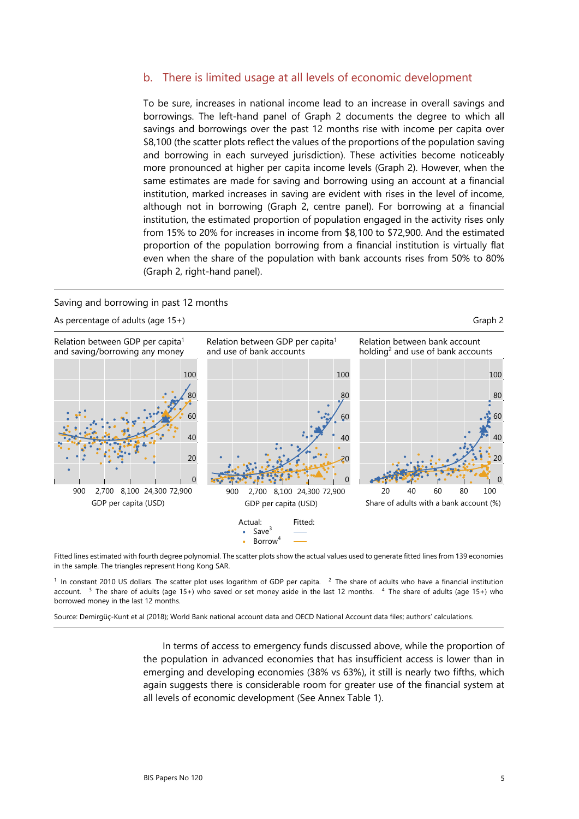#### <span id="page-10-0"></span>b. There is limited usage at all levels of economic development

To be sure, increases in national income lead to an increase in overall savings and borrowings. The left-hand panel of Graph 2 documents the degree to which all savings and borrowings over the past 12 months rise with income per capita over \$8,100 (the scatter plots reflect the values of the proportions of the population saving and borrowing in each surveyed jurisdiction). These activities become noticeably more pronounced at higher per capita income levels (Graph 2). However, when the same estimates are made for saving and borrowing using an account at a financial institution, marked increases in saving are evident with rises in the level of income, although not in borrowing (Graph 2, centre panel). For borrowing at a financial institution, the estimated proportion of population engaged in the activity rises only from 15% to 20% for increases in income from \$8,100 to \$72,900. And the estimated proportion of the population borrowing from a financial institution is virtually flat even when the share of the population with bank accounts rises from 50% to 80% (Graph 2, right-hand panel).

#### Saving and borrowing in past 12 months



Fitted lines estimated with fourth degree polynomial. The scatter plots show the actual values used to generate fitted lines from 139 economies in the sample. The triangles represent Hong Kong SAR.

 $<sup>1</sup>$  In constant 2010 US dollars. The scatter plot uses logarithm of GDP per capita.  $<sup>2</sup>$  The share of adults who have a financial institution</sup></sup> account. <sup>3</sup> The share of adults (age 15+) who saved or set money aside in the last 12 months. <sup>4</sup> The share of adults (age 15+) who borrowed money in the last 12 months.

Source: Demirgüç-Kunt et al (2018); World Bank national account data and OECD National Account data files; authors' calculations.

In terms of access to emergency funds discussed above, while the proportion of the population in advanced economies that has insufficient access is lower than in emerging and developing economies (38% vs 63%), it still is nearly two fifths, which again suggests there is considerable room for greater use of the financial system at all levels of economic development (See Annex Table 1).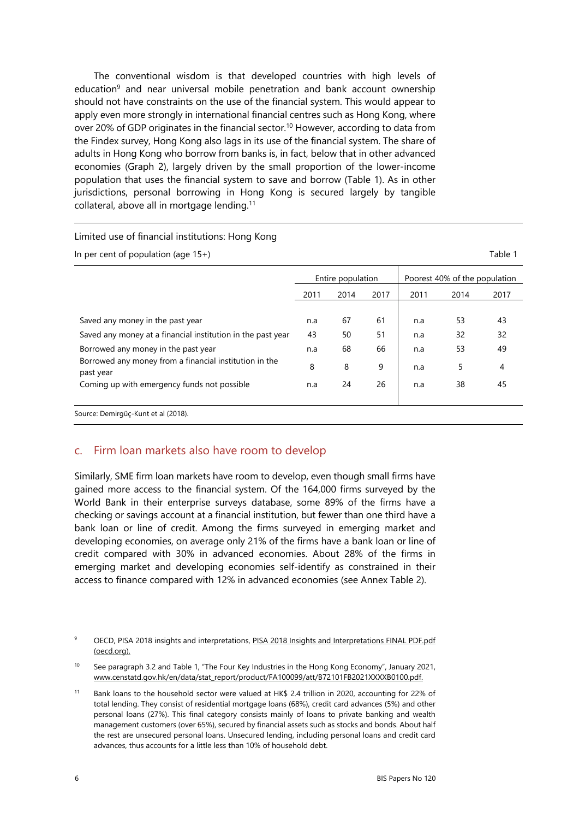The conventional wisdom is that developed countries with high levels of education<sup>9</sup> and near universal mobile penetration and bank account ownership should not have constraints on the use of the financial system. This would appear to apply even more strongly in international financial centres such as Hong Kong, where over 20% of GDP originates in the financial sector.[10](#page-11-2) However, according to data from the Findex survey, Hong Kong also lags in its use of the financial system. The share of adults in Hong Kong who borrow from banks is, in fact, below that in other advanced economies (Graph 2), largely driven by the small proportion of the lower-income population that uses the financial system to save and borrow (Table 1). As in other jurisdictions, personal borrowing in Hong Kong is secured largely by tangible collateral, above all in mortgage lending.<sup>[11](#page-11-1)</sup>

#### Limited use of financial institutions: Hong Kong

| In per cent of population (age $15+)$                               |      |                   |      |      |                               | Table 1 |
|---------------------------------------------------------------------|------|-------------------|------|------|-------------------------------|---------|
|                                                                     |      | Entire population |      |      | Poorest 40% of the population |         |
|                                                                     | 2011 | 2014              | 2017 | 2011 | 2014                          | 2017    |
| Saved any money in the past year                                    | n.a  | 67                | 61   | n.a  | 53                            | 43      |
| Saved any money at a financial institution in the past year         | 43   | 50                | 51   | n.a  | 32                            | 32      |
| Borrowed any money in the past year                                 | n.a  | 68                | 66   | n.a  | 53                            | 49      |
| Borrowed any money from a financial institution in the<br>past year | 8    | 8                 | 9    | n.a  | 5                             | 4       |
| Coming up with emergency funds not possible                         | n.a  | 24                | 26   | n.a  | 38                            | 45      |
| Source: Demirgüç-Kunt et al (2018).                                 |      |                   |      |      |                               |         |

### <span id="page-11-0"></span>c. Firm loan markets also have room to develop

Similarly, SME firm loan markets have room to develop, even though small firms have gained more access to the financial system. Of the 164,000 firms surveyed by the World Bank in their enterprise surveys database, some 89% of the firms have a checking or savings account at a financial institution, but fewer than one third have a bank loan or line of credit. Among the firms surveyed in emerging market and developing economies, on average only 21% of the firms have a bank loan or line of credit compared with 30% in advanced economies. About 28% of the firms in emerging market and developing economies self-identify as constrained in their access to finance compared with 12% in advanced economies (see Annex Table 2).

<span id="page-11-3"></span><sup>9</sup> OECD, PISA 2018 insights and interpretations[, PISA 2018 Insights and Interpretations FINAL PDF.pdf](https://www.oecd.org/pisa/PISA%202018%20Insights%20and%20Interpretations%20FINAL%20PDF.pdf)  [\(oecd.org\).](https://www.oecd.org/pisa/PISA%202018%20Insights%20and%20Interpretations%20FINAL%20PDF.pdf) 

<span id="page-11-2"></span><sup>&</sup>lt;sup>10</sup> See paragraph 3.2 and Table 1, "The Four Key Industries in the Hong Kong Economy", January 2021, www.censtatd.gov.hk/en/data/stat\_report/product/FA100099/att/B72101FB2021XXXXB0100.pdf.

<span id="page-11-1"></span><sup>11</sup> Bank loans to the household sector were valued at HK\$ 2.4 trillion in 2020, accounting for 22% of total lending. They consist of residential mortgage loans (68%), credit card advances (5%) and other personal loans (27%). This final category consists mainly of loans to private banking and wealth management customers (over 65%), secured by financial assets such as stocks and bonds. About half the rest are unsecured personal loans. Unsecured lending, including personal loans and credit card advances, thus accounts for a little less than 10% of household debt.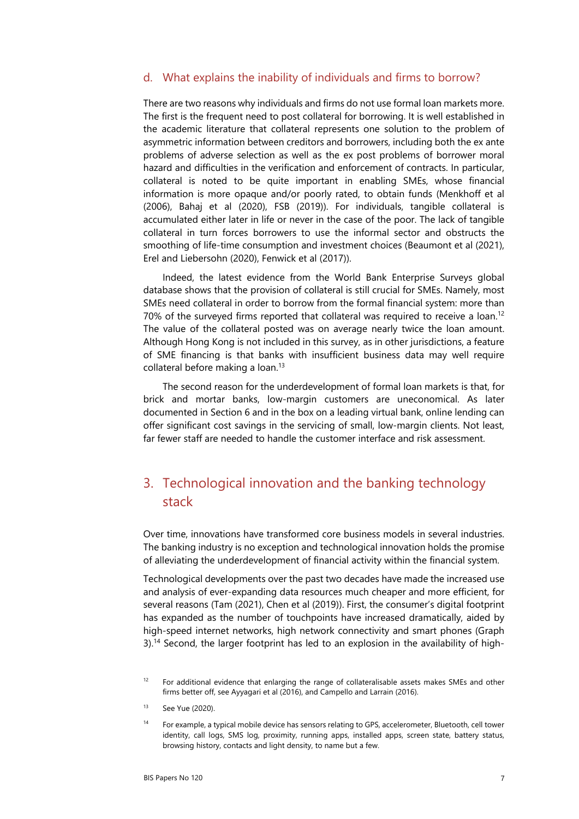#### <span id="page-12-1"></span>d. What explains the inability of individuals and firms to borrow?

There are two reasons why individuals and firms do not use formal loan markets more. The first is the frequent need to post collateral for borrowing. It is well established in the academic literature that collateral represents one solution to the problem of asymmetric information between creditors and borrowers, including both the ex ante problems of adverse selection as well as the ex post problems of borrower moral hazard and difficulties in the verification and enforcement of contracts. In particular, collateral is noted to be quite important in enabling SMEs, whose financial information is more opaque and/or poorly rated, to obtain funds (Menkhoff et al (2006), Bahaj et al (2020), FSB (2019)). For individuals, tangible collateral is accumulated either later in life or never in the case of the poor. The lack of tangible collateral in turn forces borrowers to use the informal sector and obstructs the smoothing of life-time consumption and investment choices (Beaumont et al (2021), Erel and Liebersohn (2020), Fenwick et al (2017)).

Indeed, the latest evidence from the World Bank Enterprise Surveys global database shows that the provision of collateral is still crucial for SMEs. Namely, most SMEs need collateral in order to borrow from the formal financial system: more than 70% of the surveyed firms reported that collateral was required to receive a loan.<sup>[12](#page-12-4)</sup> The value of the collateral posted was on average nearly twice the loan amount. Although Hong Kong is not included in this survey, as in other jurisdictions, a feature of SME financing is that banks with insufficient business data may well require collateral before making a loan.[13](#page-12-3)

The second reason for the underdevelopment of formal loan markets is that, for brick and mortar banks, low-margin customers are uneconomical. As later documented in Section 6 and in the box on a leading virtual bank, online lending can offer significant cost savings in the servicing of small, low-margin clients. Not least, far fewer staff are needed to handle the customer interface and risk assessment.

# <span id="page-12-0"></span>3. Technological innovation and the banking technology stack

Over time, innovations have transformed core business models in several industries. The banking industry is no exception and technological innovation holds the promise of alleviating the underdevelopment of financial activity within the financial system.

Technological developments over the past two decades have made the increased use and analysis of ever-expanding data resources much cheaper and more efficient, for several reasons (Tam (2021), Chen et al (2019)). First, the consumer's digital footprint has expanded as the number of touchpoints have increased dramatically, aided by high-speed internet networks, high network connectivity and smart phones (Graph 3).<sup>14</sup> Second, the larger footprint has led to an explosion in the availability of high-

- <span id="page-12-3"></span>13 See Yue (2020).
- <span id="page-12-2"></span>14 For example, a typical mobile device has sensors relating to GPS, accelerometer, Bluetooth, cell tower identity, call logs, SMS log, proximity, running apps, installed apps, screen state, battery status, browsing history, contacts and light density, to name but a few.

<span id="page-12-4"></span><sup>&</sup>lt;sup>12</sup> For additional evidence that enlarging the range of collateralisable assets makes SMEs and other firms better off, see Ayyagari et al (2016), and Campello and Larrain (2016).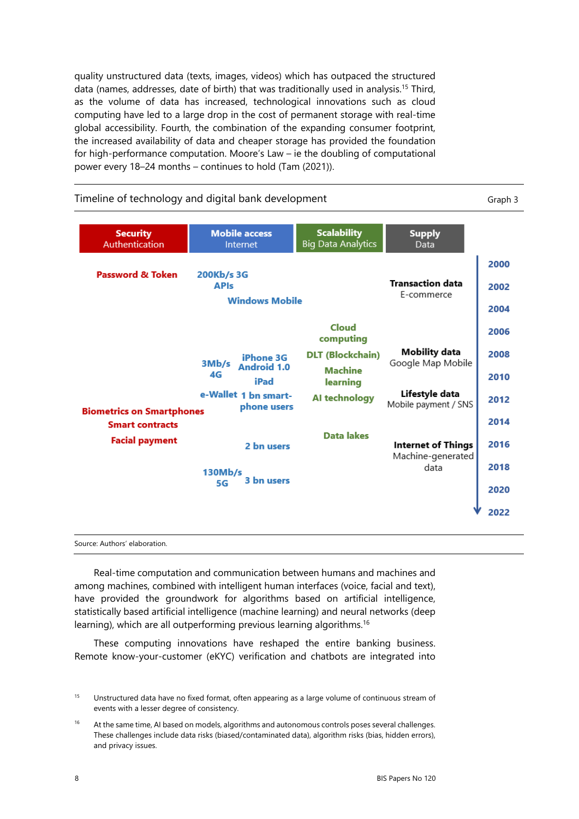quality unstructured data (texts, images, videos) which has outpaced the structured data (names, addresses, date of birth) that was traditionally used in analysis[.15](#page-13-1) Third, as the volume of data has increased, technological innovations such as cloud computing have led to a large drop in the cost of permanent storage with real-time global accessibility. Fourth, the combination of the expanding consumer footprint, the increased availability of data and cheaper storage has provided the foundation for high-performance computation. Moore's Law – ie the doubling of computational power every 18–24 months – continues to hold (Tam (2021)).



Real-time computation and communication between humans and machines and among machines, combined with intelligent human interfaces (voice, facial and text), have provided the groundwork for algorithms based on artificial intelligence, statistically based artificial intelligence (machine learning) and neural networks (deep learning), which are all outperforming previous learning algorithms.<sup>16</sup>

These computing innovations have reshaped the entire banking business. Remote know-your-customer (eKYC) verification and chatbots are integrated into

<span id="page-13-1"></span><sup>&</sup>lt;sup>15</sup> Unstructured data have no fixed format, often appearing as a large volume of continuous stream of events with a lesser degree of consistency.

<span id="page-13-0"></span><sup>&</sup>lt;sup>16</sup> At the same time, AI based on models, algorithms and autonomous controls poses several challenges. These challenges include data risks (biased/contaminated data), algorithm risks (bias, hidden errors), and privacy issues.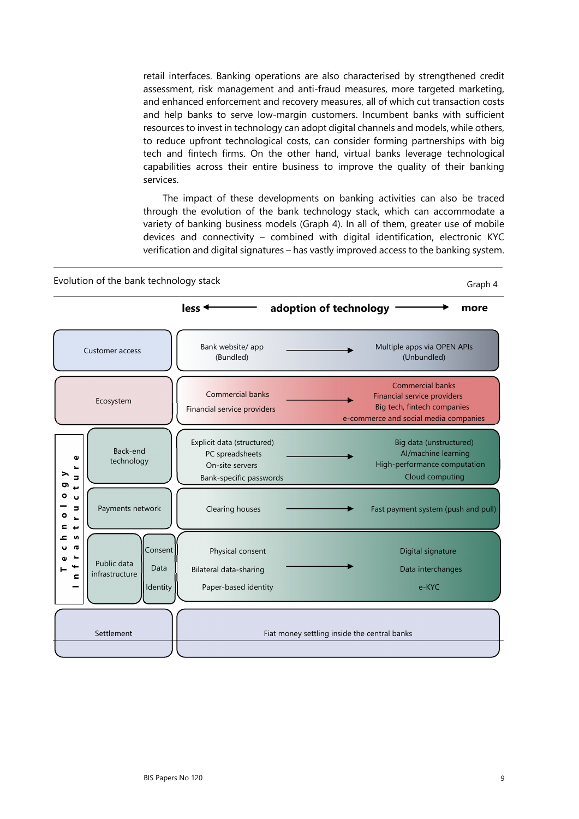retail interfaces. Banking operations are also characterised by strengthened credit assessment, risk management and anti-fraud measures, more targeted marketing, and enhanced enforcement and recovery measures, all of which cut transaction costs and help banks to serve low-margin customers. Incumbent banks with sufficient resources to invest in technology can adopt digital channels and models, while others, to reduce upfront technological costs, can consider forming partnerships with big tech and fintech firms. On the other hand, virtual banks leverage technological capabilities across their entire business to improve the quality of their banking services.

The impact of these developments on banking activities can also be traced through the evolution of the bank technology stack, which can accommodate a variety of banking business models (Graph 4). In all of them, greater use of mobile devices and connectivity – combined with digital identification, electronic KYC verification and digital signatures – has vastly improved access to the banking system.

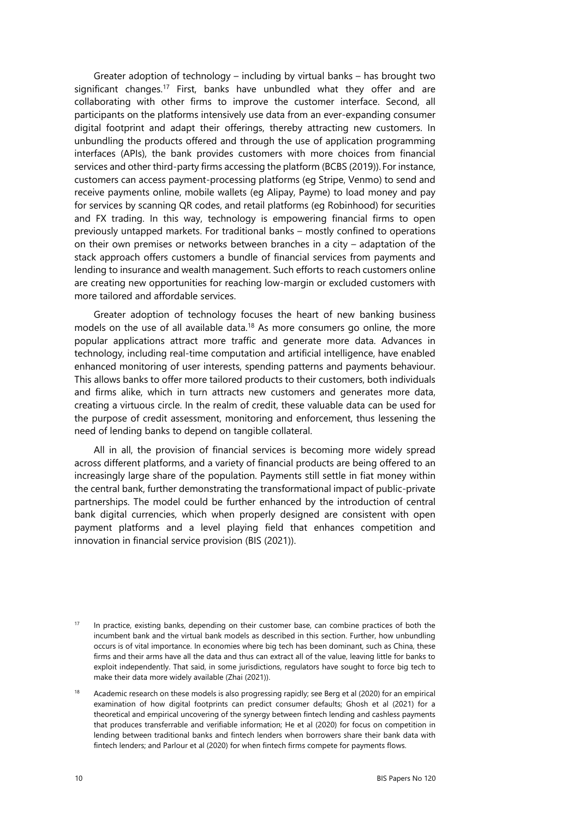Greater adoption of technology – including by virtual banks – has brought two significant changes.<sup>17</sup> First, banks have unbundled what they offer and are collaborating with other firms to improve the customer interface. Second, all participants on the platforms intensively use data from an ever-expanding consumer digital footprint and adapt their offerings, thereby attracting new customers. In unbundling the products offered and through the use of application programming interfaces (APIs), the bank provides customers with more choices from financial services and other third-party firms accessing the platform (BCBS (2019)). For instance, customers can access payment-processing platforms (eg Stripe, Venmo) to send and receive payments online, mobile wallets (eg Alipay, Payme) to load money and pay for services by scanning QR codes, and retail platforms (eg Robinhood) for securities and FX trading. In this way, technology is empowering financial firms to open previously untapped markets. For traditional banks – mostly confined to operations on their own premises or networks between branches in a city – adaptation of the stack approach offers customers a bundle of financial services from payments and lending to insurance and wealth management. Such efforts to reach customers online are creating new opportunities for reaching low-margin or excluded customers with more tailored and affordable services.

Greater adoption of technology focuses the heart of new banking business models on the use of all available data.<sup>18</sup> As more consumers go online, the more popular applications attract more traffic and generate more data. Advances in technology, including real-time computation and artificial intelligence, have enabled enhanced monitoring of user interests, spending patterns and payments behaviour. This allows banks to offer more tailored products to their customers, both individuals and firms alike, which in turn attracts new customers and generates more data, creating a virtuous circle. In the realm of credit, these valuable data can be used for the purpose of credit assessment, monitoring and enforcement, thus lessening the need of lending banks to depend on tangible collateral.

All in all, the provision of financial services is becoming more widely spread across different platforms, and a variety of financial products are being offered to an increasingly large share of the population. Payments still settle in fiat money within the central bank, further demonstrating the transformational impact of public-private partnerships. The model could be further enhanced by the introduction of central bank digital currencies, which when properly designed are consistent with open payment platforms and a level playing field that enhances competition and innovation in financial service provision (BIS (2021)).

<span id="page-15-1"></span><sup>&</sup>lt;sup>17</sup> In practice, existing banks, depending on their customer base, can combine practices of both the incumbent bank and the virtual bank models as described in this section. Further, how unbundling occurs is of vital importance. In economies where big tech has been dominant, such as China, these firms and their arms have all the data and thus can extract all of the value, leaving little for banks to exploit independently. That said, in some jurisdictions, regulators have sought to force big tech to make their data more widely available (Zhai (2021)).

<span id="page-15-0"></span><sup>&</sup>lt;sup>18</sup> Academic research on these models is also progressing rapidly; see Berg et al (2020) for an empirical examination of how digital footprints can predict consumer defaults; Ghosh et al (2021) for a theoretical and empirical uncovering of the synergy between fintech lending and cashless payments that produces transferrable and verifiable information; He et al (2020) for focus on competition in lending between traditional banks and fintech lenders when borrowers share their bank data with fintech lenders; and Parlour et al (2020) for when fintech firms compete for payments flows.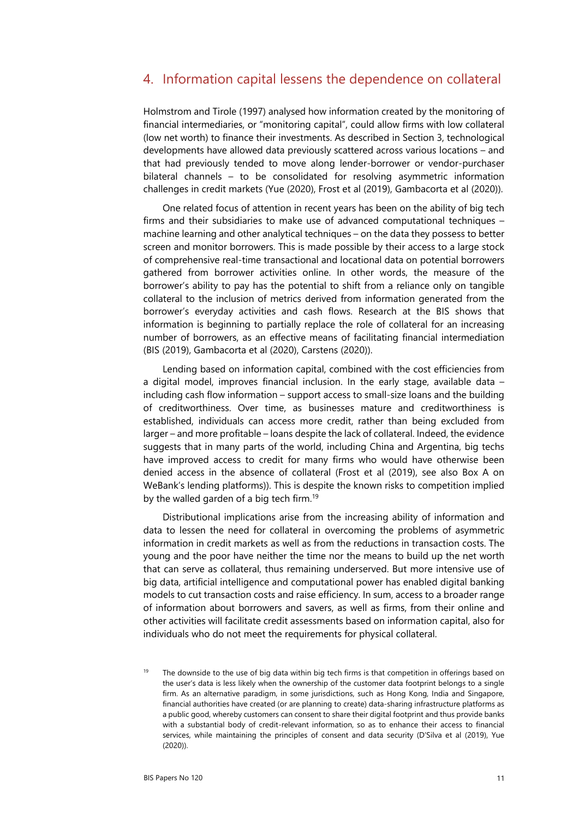## <span id="page-16-0"></span>4. Information capital lessens the dependence on collateral

Holmstrom and Tirole (1997) analysed how information created by the monitoring of financial intermediaries, or "monitoring capital", could allow firms with low collateral (low net worth) to finance their investments. As described in Section 3, technological developments have allowed data previously scattered across various locations – and that had previously tended to move along lender-borrower or vendor-purchaser bilateral channels – to be consolidated for resolving asymmetric information challenges in credit markets (Yue (2020), Frost et al (2019), Gambacorta et al (2020)).

One related focus of attention in recent years has been on the ability of big tech firms and their subsidiaries to make use of advanced computational techniques – machine learning and other analytical techniques – on the data they possess to better screen and monitor borrowers. This is made possible by their access to a large stock of comprehensive real-time transactional and locational data on potential borrowers gathered from borrower activities online. In other words, the measure of the borrower's ability to pay has the potential to shift from a reliance only on tangible collateral to the inclusion of metrics derived from information generated from the borrower's everyday activities and cash flows. Research at the BIS shows that information is beginning to partially replace the role of collateral for an increasing number of borrowers, as an effective means of facilitating financial intermediation (BIS (2019), Gambacorta et al (2020), Carstens (2020)).

Lending based on information capital, combined with the cost efficiencies from a digital model, improves financial inclusion. In the early stage, available data – including cash flow information – support access to small-size loans and the building of creditworthiness. Over time, as businesses mature and creditworthiness is established, individuals can access more credit, rather than being excluded from larger – and more profitable – loans despite the lack of collateral. Indeed, the evidence suggests that in many parts of the world, including China and Argentina, big techs have improved access to credit for many firms who would have otherwise been denied access in the absence of collateral (Frost et al (2019), see also Box A on WeBank's lending platforms)). This is despite the known risks to competition implied by the walled garden of a big tech firm.<sup>19</sup>

Distributional implications arise from the increasing ability of information and data to lessen the need for collateral in overcoming the problems of asymmetric information in credit markets as well as from the reductions in transaction costs. The young and the poor have neither the time nor the means to build up the net worth that can serve as collateral, thus remaining underserved. But more intensive use of big data, artificial intelligence and computational power has enabled digital banking models to cut transaction costs and raise efficiency. In sum, access to a broader range of information about borrowers and savers, as well as firms, from their online and other activities will facilitate credit assessments based on information capital, also for individuals who do not meet the requirements for physical collateral.

<span id="page-16-1"></span>The downside to the use of big data within big tech firms is that competition in offerings based on the user's data is less likely when the ownership of the customer data footprint belongs to a single firm. As an alternative paradigm, in some jurisdictions, such as Hong Kong, India and Singapore, financial authorities have created (or are planning to create) data-sharing infrastructure platforms as a public good, whereby customers can consent to share their digital footprint and thus provide banks with a substantial body of credit-relevant information, so as to enhance their access to financial services, while maintaining the principles of consent and data security (D'Silva et al (2019), Yue (2020)).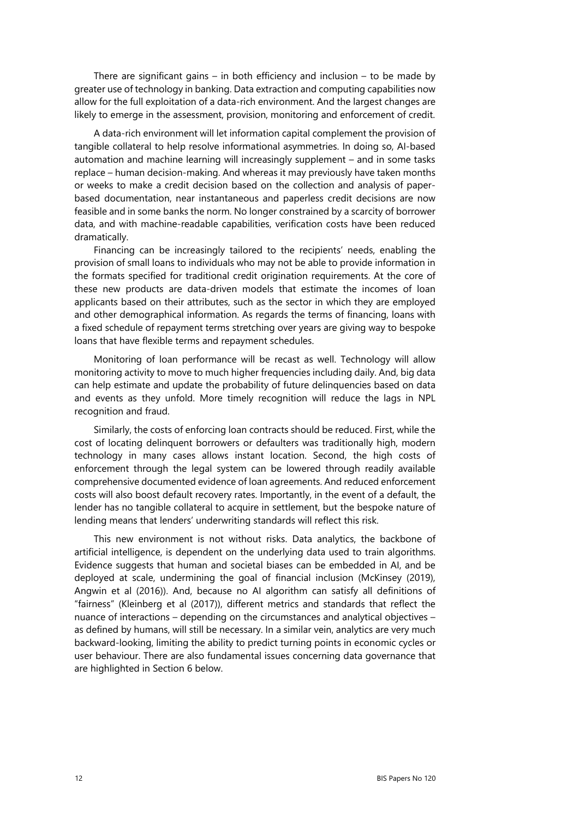There are significant gains  $-$  in both efficiency and inclusion  $-$  to be made by greater use of technology in banking. Data extraction and computing capabilities now allow for the full exploitation of a data-rich environment. And the largest changes are likely to emerge in the assessment, provision, monitoring and enforcement of credit.

A data-rich environment will let information capital complement the provision of tangible collateral to help resolve informational asymmetries. In doing so, AI-based automation and machine learning will increasingly supplement – and in some tasks replace – human decision-making. And whereas it may previously have taken months or weeks to make a credit decision based on the collection and analysis of paperbased documentation, near instantaneous and paperless credit decisions are now feasible and in some banks the norm. No longer constrained by a scarcity of borrower data, and with machine-readable capabilities, verification costs have been reduced dramatically.

Financing can be increasingly tailored to the recipients' needs, enabling the provision of small loans to individuals who may not be able to provide information in the formats specified for traditional credit origination requirements. At the core of these new products are data-driven models that estimate the incomes of loan applicants based on their attributes, such as the sector in which they are employed and other demographical information. As regards the terms of financing, loans with a fixed schedule of repayment terms stretching over years are giving way to bespoke loans that have flexible terms and repayment schedules.

Monitoring of loan performance will be recast as well. Technology will allow monitoring activity to move to much higher frequencies including daily. And, big data can help estimate and update the probability of future delinquencies based on data and events as they unfold. More timely recognition will reduce the lags in NPL recognition and fraud.

Similarly, the costs of enforcing loan contracts should be reduced. First, while the cost of locating delinquent borrowers or defaulters was traditionally high, modern technology in many cases allows instant location. Second, the high costs of enforcement through the legal system can be lowered through readily available comprehensive documented evidence of loan agreements. And reduced enforcement costs will also boost default recovery rates. Importantly, in the event of a default, the lender has no tangible collateral to acquire in settlement, but the bespoke nature of lending means that lenders' underwriting standards will reflect this risk.

This new environment is not without risks. Data analytics, the backbone of artificial intelligence, is dependent on the underlying data used to train algorithms. Evidence suggests that human and societal biases can be embedded in AI, and be deployed at scale, undermining the goal of financial inclusion (McKinsey (2019), Angwin et al (2016)). And, because no AI algorithm can satisfy all definitions of "fairness" (Kleinberg et al (2017)), different metrics and standards that reflect the nuance of interactions – depending on the circumstances and analytical objectives – as defined by humans, will still be necessary. In a similar vein, analytics are very much backward-looking, limiting the ability to predict turning points in economic cycles or user behaviour. There are also fundamental issues concerning data governance that are highlighted in Section 6 below.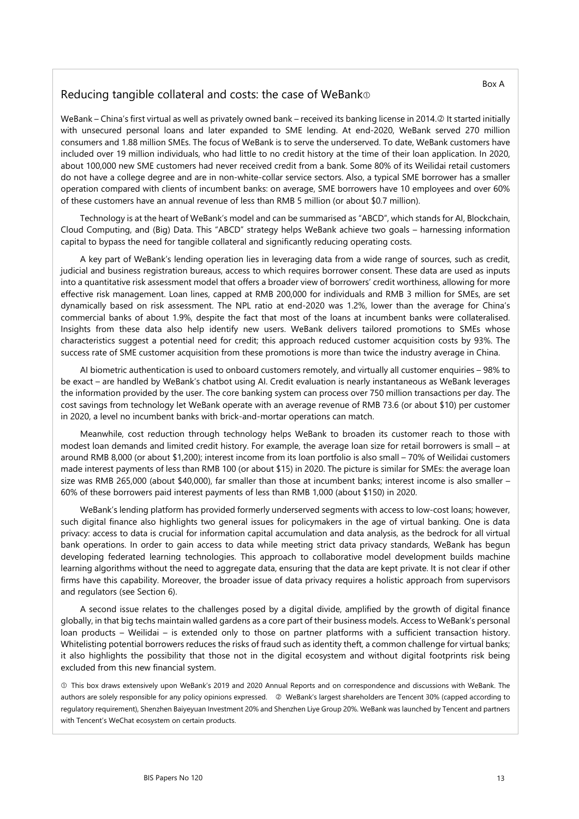### <span id="page-18-0"></span>Reducing tangible collateral and costs: the case of WeBank

WeBank – China's first virtual as well as privately owned bank – received its banking license in 2014. **D** It started initially with unsecured personal loans and later expanded to SME lending. At end-2020, WeBank served 270 million consumers and 1.88 million SMEs. The focus of WeBank is to serve the underserved. To date, WeBank customers have included over 19 million individuals, who had little to no credit history at the time of their loan application. In 2020, about 100,000 new SME customers had never received credit from a bank. Some 80% of its Weilidai retail customers do not have a college degree and are in non-white-collar service sectors. Also, a typical SME borrower has a smaller operation compared with clients of incumbent banks: on average, SME borrowers have 10 employees and over 60% of these customers have an annual revenue of less than RMB 5 million (or about \$0.7 million).

Technology is at the heart of WeBank's model and can be summarised as "ABCD", which stands for AI, Blockchain, Cloud Computing, and (Big) Data. This "ABCD" strategy helps WeBank achieve two goals – harnessing information capital to bypass the need for tangible collateral and significantly reducing operating costs.

A key part of WeBank's lending operation lies in leveraging data from a wide range of sources, such as credit, judicial and business registration bureaus, access to which requires borrower consent. These data are used as inputs into a quantitative risk assessment model that offers a broader view of borrowers' credit worthiness, allowing for more effective risk management. Loan lines, capped at RMB 200,000 for individuals and RMB 3 million for SMEs, are set dynamically based on risk assessment. The NPL ratio at end-2020 was 1.2%, lower than the average for China's commercial banks of about 1.9%, despite the fact that most of the loans at incumbent banks were collateralised. Insights from these data also help identify new users. WeBank delivers tailored promotions to SMEs whose characteristics suggest a potential need for credit; this approach reduced customer acquisition costs by 93%. The success rate of SME customer acquisition from these promotions is more than twice the industry average in China.

AI biometric authentication is used to onboard customers remotely, and virtually all customer enquiries – 98% to be exact – are handled by WeBank's chatbot using AI. Credit evaluation is nearly instantaneous as WeBank leverages the information provided by the user. The core banking system can process over 750 million transactions per day. The cost savings from technology let WeBank operate with an average revenue of RMB 73.6 (or about \$10) per customer in 2020, a level no incumbent banks with brick-and-mortar operations can match.

Meanwhile, cost reduction through technology helps WeBank to broaden its customer reach to those with modest loan demands and limited credit history. For example, the average loan size for retail borrowers is small – at around RMB 8,000 (or about \$1,200); interest income from its loan portfolio is also small – 70% of Weilidai customers made interest payments of less than RMB 100 (or about \$15) in 2020. The picture is similar for SMEs: the average loan size was RMB 265,000 (about \$40,000), far smaller than those at incumbent banks; interest income is also smaller – 60% of these borrowers paid interest payments of less than RMB 1,000 (about \$150) in 2020.

WeBank's lending platform has provided formerly underserved segments with access to low-cost loans; however, such digital finance also highlights two general issues for policymakers in the age of virtual banking. One is data privacy: access to data is crucial for information capital accumulation and data analysis, as the bedrock for all virtual bank operations. In order to gain access to data while meeting strict data privacy standards, WeBank has begun developing federated learning technologies. This approach to collaborative model development builds machine learning algorithms without the need to aggregate data, ensuring that the data are kept private. It is not clear if other firms have this capability. Moreover, the broader issue of data privacy requires a holistic approach from supervisors and regulators (see Section 6).

A second issue relates to the challenges posed by a digital divide, amplified by the growth of digital finance globally, in that big techs maintain walled gardens as a core part of their business models. Access to WeBank's personal loan products – Weilidai – is extended only to those on partner platforms with a sufficient transaction history. Whitelisting potential borrowers reduces the risks of fraud such as identity theft, a common challenge for virtual banks; it also highlights the possibility that those not in the digital ecosystem and without digital footprints risk being excluded from this new financial system.

 This box draws extensively upon WeBank's 2019 and 2020 Annual Reports and on correspondence and discussions with WeBank. The authors are solely responsible for any policy opinions expressed. @ WeBank's largest shareholders are Tencent 30% (capped according to regulatory requirement), Shenzhen Baiyeyuan Investment 20% and Shenzhen Liye Group 20%. WeBank was launched by Tencent and partners with Tencent's WeChat ecosystem on certain products.

Box A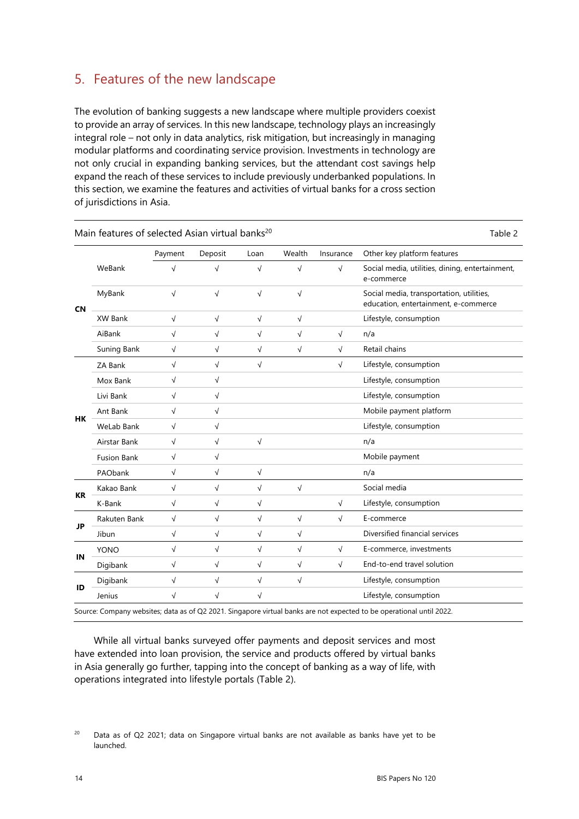# <span id="page-19-0"></span>5. Features of the new landscape

The evolution of banking suggests a new landscape where multiple providers coexist to provide an array of services. In this new landscape, technology plays an increasingly integral role – not only in data analytics, risk mitigation, but increasingly in managing modular platforms and coordinating service provision. Investments in technology are not only crucial in expanding banking services, but the attendant cost savings help expand the reach of these services to include previously underbanked populations. In this section, we examine the features and activities of virtual banks for a cross section of jurisdictions in Asia.

|           |                    | Payment    | Deposit    | Loan       | Wealth     | Insurance  | Other key platform features                                                      |
|-----------|--------------------|------------|------------|------------|------------|------------|----------------------------------------------------------------------------------|
| <b>CN</b> | WeBank             | $\sqrt{ }$ | $\sqrt{}$  | $\sqrt{}$  | $\sqrt{ }$ | $\sqrt{ }$ | Social media, utilities, dining, entertainment,<br>e-commerce                    |
|           | MyBank             | $\sqrt{ }$ | $\sqrt{ }$ | $\sqrt{ }$ | $\sqrt{ }$ |            | Social media, transportation, utilities,<br>education, entertainment, e-commerce |
|           | XW Bank            | $\sqrt{}$  | $\sqrt{}$  | $\sqrt{}$  | $\sqrt{}$  |            | Lifestyle, consumption                                                           |
|           | AiBank             | $\sqrt{}$  | $\sqrt{}$  | $\sqrt{}$  | $\sqrt{ }$ | $\sqrt{}$  | n/a                                                                              |
|           | Suning Bank        | $\sqrt{}$  | $\sqrt{}$  | $\sqrt{}$  | $\sqrt{}$  | $\sqrt{}$  | Retail chains                                                                    |
| HK        | ZA Bank            | $\sqrt{}$  | $\sqrt{ }$ | $\sqrt{}$  |            | $\sqrt{}$  | Lifestyle, consumption                                                           |
|           | Mox Bank           | $\sqrt{}$  | $\sqrt{}$  |            |            |            | Lifestyle, consumption                                                           |
|           | Livi Bank          | $\sqrt{}$  | $\sqrt{ }$ |            |            |            | Lifestyle, consumption                                                           |
|           | Ant Bank           | √          | $\sqrt{}$  |            |            |            | Mobile payment platform                                                          |
|           | <b>WeLab Bank</b>  | $\sqrt{ }$ | $\sqrt{ }$ |            |            |            | Lifestyle, consumption                                                           |
|           | Airstar Bank       | $\sqrt{}$  | $\sqrt{}$  | $\sqrt{}$  |            |            | n/a                                                                              |
|           | <b>Fusion Bank</b> | $\sqrt{ }$ | $\sqrt{ }$ |            |            |            | Mobile payment                                                                   |
|           | PAObank            | $\sqrt{}$  | $\sqrt{ }$ | √          |            |            | n/a                                                                              |
|           | Kakao Bank         | $\sqrt{ }$ | $\sqrt{ }$ | $\sqrt{ }$ | $\sqrt{ }$ |            | Social media                                                                     |
| KR        | K-Bank             | $\sqrt{}$  | $\sqrt{ }$ | $\sqrt{}$  |            | $\sqrt{}$  | Lifestyle, consumption                                                           |
|           | Rakuten Bank       | $\sqrt{}$  | $\sqrt{ }$ | $\sqrt{ }$ | $\sqrt{ }$ | $\sqrt{ }$ | E-commerce                                                                       |
| JP        | Jibun              | $\sqrt{}$  | $\sqrt{ }$ | $\sqrt{}$  | $\sqrt{}$  |            | Diversified financial services                                                   |
|           | <b>YONO</b>        | $\sqrt{ }$ | $\sqrt{ }$ | $\sqrt{}$  | $\sqrt{ }$ | $\sqrt{ }$ | E-commerce, investments                                                          |
| ΙN        | Digibank           | $\sqrt{}$  | $\sqrt{}$  | $\sqrt{}$  | $\sqrt{}$  | $\sqrt{ }$ | End-to-end travel solution                                                       |
|           | Digibank           | $\sqrt{}$  | $\sqrt{}$  | $\sqrt{}$  | $\sqrt{ }$ |            | Lifestyle, consumption                                                           |
| ID        | Jenius             | $\sqrt{}$  | $\sqrt{ }$ | $\sqrt{ }$ |            |            | Lifestyle, consumption                                                           |

While all virtual banks surveyed offer payments and deposit services and most have extended into loan provision, the service and products offered by virtual banks in Asia generally go further, tapping into the concept of banking as a way of life, with operations integrated into lifestyle portals (Table 2).

<span id="page-19-1"></span> $20$  Data as of Q2 2021; data on Singapore virtual banks are not available as banks have yet to be launched.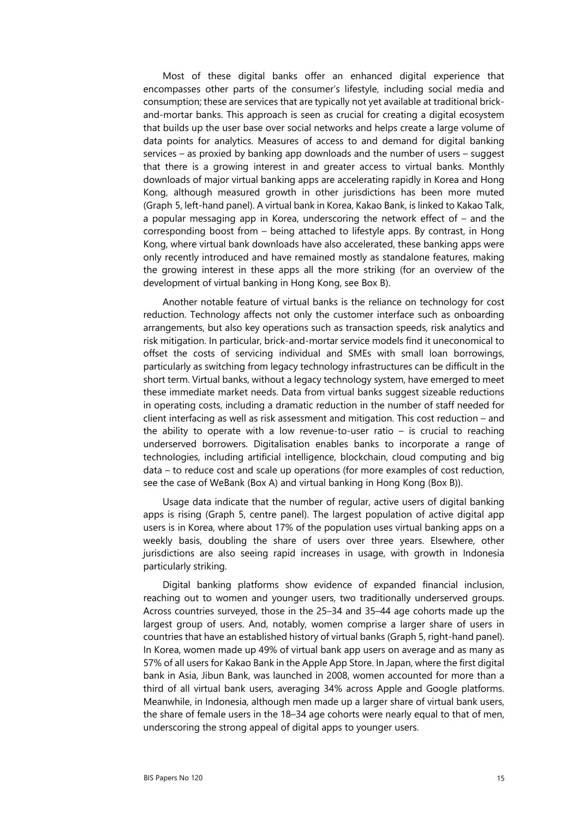Most of these digital banks offer an enhanced digital experience that encompasses other parts of the consumer's lifestyle, including social media and consumption; these are services that are typically not yet available at traditional brickand-mortar banks. This approach is seen as crucial for creating a digital ecosystem that builds up the user base over social networks and helps create a large volume of data points for analytics. Measures of access to and demand for digital banking services – as proxied by banking app downloads and the number of users – suggest that there is a growing interest in and greater access to virtual banks. Monthly downloads of major virtual banking apps are accelerating rapidly in Korea and Hong Kong, although measured growth in other jurisdictions has been more muted (Graph 5, left-hand panel). A virtual bank in Korea, Kakao Bank, is linked to Kakao Talk, a popular messaging app in Korea, underscoring the network effect of – and the corresponding boost from – being attached to lifestyle apps. By contrast, in Hong Kong, where virtual bank downloads have also accelerated, these banking apps were only recently introduced and have remained mostly as standalone features, making the growing interest in these apps all the more striking (for an overview of the development of virtual banking in Hong Kong, see Box B).

Another notable feature of virtual banks is the reliance on technology for cost reduction. Technology affects not only the customer interface such as onboarding arrangements, but also key operations such as transaction speeds, risk analytics and risk mitigation. In particular, brick-and-mortar service models find it uneconomical to offset the costs of servicing individual and SMEs with small loan borrowings, particularly as switching from legacy technology infrastructures can be difficult in the short term. Virtual banks, without a legacy technology system, have emerged to meet these immediate market needs. Data from virtual banks suggest sizeable reductions in operating costs, including a dramatic reduction in the number of staff needed for client interfacing as well as risk assessment and mitigation. This cost reduction – and the ability to operate with a low revenue-to-user ratio – is crucial to reaching underserved borrowers. Digitalisation enables banks to incorporate a range of technologies, including artificial intelligence, blockchain, cloud computing and big data – to reduce cost and scale up operations (for more examples of cost reduction, see the case of WeBank (Box A) and virtual banking in Hong Kong (Box B)).

Usage data indicate that the number of regular, active users of digital banking apps is rising (Graph 5, centre panel). The largest population of active digital app users is in Korea, where about 17% of the population uses virtual banking apps on a weekly basis, doubling the share of users over three years. Elsewhere, other jurisdictions are also seeing rapid increases in usage, with growth in Indonesia particularly striking.

Digital banking platforms show evidence of expanded financial inclusion, reaching out to women and younger users, two traditionally underserved groups. Across countries surveyed, those in the 25–34 and 35–44 age cohorts made up the largest group of users. And, notably, women comprise a larger share of users in countries that have an established history of virtual banks (Graph 5, right-hand panel). In Korea, women made up 49% of virtual bank app users on average and as many as 57% of all users for Kakao Bank in the Apple App Store. In Japan, where the first digital bank in Asia, Jibun Bank, was launched in 2008, women accounted for more than a third of all virtual bank users, averaging 34% across Apple and Google platforms. Meanwhile, in Indonesia, although men made up a larger share of virtual bank users, the share of female users in the 18–34 age cohorts were nearly equal to that of men, underscoring the strong appeal of digital apps to younger users.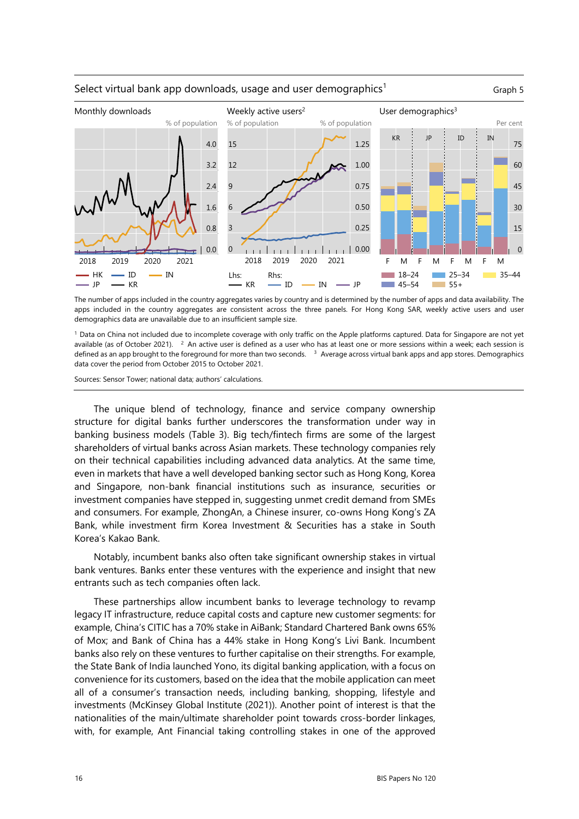

#### Select virtual bank app downloads, usage and user demographics<sup>1</sup>  $\qquad \qquad \text{Graph 5}$

The number of apps included in the country aggregates varies by country and is determined by the number of apps and data availability. The apps included in the country aggregates are consistent across the three panels. For Hong Kong SAR, weekly active users and user demographics data are unavailable due to an insufficient sample size.

1 Data on China not included due to incomplete coverage with only traffic on the Apple platforms captured. Data for Singapore are not yet available (as of October 2021). <sup>2</sup> An active user is defined as a user who has at least one or more sessions within a week; each session is defined as an app brought to the foreground for more than two seconds. 3 Average across virtual bank apps and app stores. Demographics data cover the period from October 2015 to October 2021.

Sources: Sensor Tower; national data; authors' calculations.

The unique blend of technology, finance and service company ownership structure for digital banks further underscores the transformation under way in banking business models (Table 3). Big tech/fintech firms are some of the largest shareholders of virtual banks across Asian markets. These technology companies rely on their technical capabilities including advanced data analytics. At the same time, even in markets that have a well developed banking sector such as Hong Kong, Korea and Singapore, non-bank financial institutions such as insurance, securities or investment companies have stepped in, suggesting unmet credit demand from SMEs and consumers. For example, ZhongAn, a Chinese insurer, co-owns Hong Kong's ZA Bank, while investment firm Korea Investment & Securities has a stake in South Korea's Kakao Bank.

Notably, incumbent banks also often take significant ownership stakes in virtual bank ventures. Banks enter these ventures with the experience and insight that new entrants such as tech companies often lack.

These partnerships allow incumbent banks to leverage technology to revamp legacy IT infrastructure, reduce capital costs and capture new customer segments: for example, China's CITIC has a 70% stake in AiBank; Standard Chartered Bank owns 65% of Mox; and Bank of China has a 44% stake in Hong Kong's Livi Bank. Incumbent banks also rely on these ventures to further capitalise on their strengths. For example, the State Bank of India launched Yono, its digital banking application, with a focus on convenience for its customers, based on the idea that the mobile application can meet all of a consumer's transaction needs, including banking, shopping, lifestyle and investments (McKinsey Global Institute (2021)). Another point of interest is that the nationalities of the main/ultimate shareholder point towards cross-border linkages, with, for example, Ant Financial taking controlling stakes in one of the approved

16 BIS Papers No 120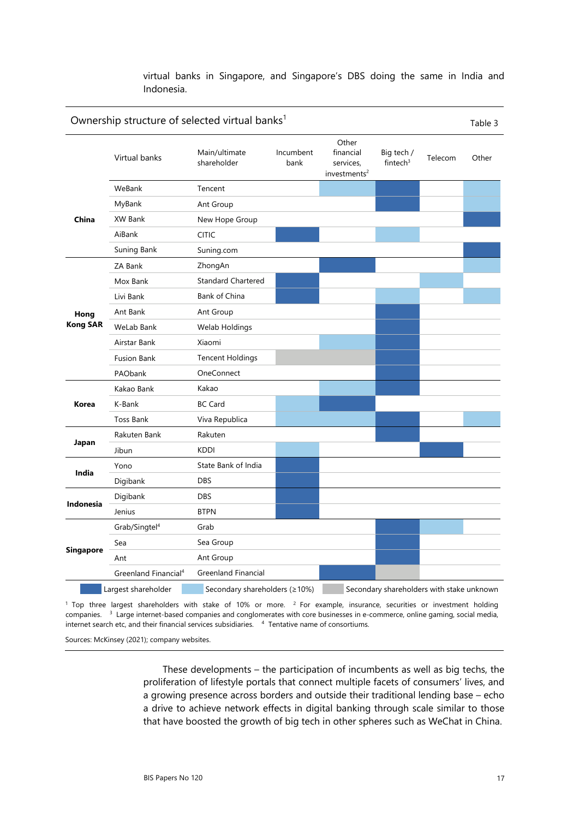virtual banks in Singapore, and Singapore's DBS doing the same in India and Indonesia.

|                  | Ownership structure of selected virtual banks <sup>1</sup> |                               |                   |                                                             |                                           |         |       |
|------------------|------------------------------------------------------------|-------------------------------|-------------------|-------------------------------------------------------------|-------------------------------------------|---------|-------|
|                  | Virtual banks                                              | Main/ultimate<br>shareholder  | Incumbent<br>bank | Other<br>financial<br>services,<br>investments <sup>2</sup> | Big tech /<br>fintech $3$                 | Telecom | Other |
|                  | WeBank                                                     | Tencent                       |                   |                                                             |                                           |         |       |
|                  | MyBank                                                     | Ant Group                     |                   |                                                             |                                           |         |       |
| China            | XW Bank                                                    | New Hope Group                |                   |                                                             |                                           |         |       |
|                  | AiBank                                                     | <b>CITIC</b>                  |                   |                                                             |                                           |         |       |
|                  | Suning Bank                                                | Suning.com                    |                   |                                                             |                                           |         |       |
|                  | ZA Bank                                                    | ZhongAn                       |                   |                                                             |                                           |         |       |
|                  | Mox Bank                                                   | <b>Standard Chartered</b>     |                   |                                                             |                                           |         |       |
|                  | Livi Bank                                                  | Bank of China                 |                   |                                                             |                                           |         |       |
| Hong             | Ant Bank                                                   | Ant Group                     |                   |                                                             |                                           |         |       |
| <b>Kong SAR</b>  | WeLab Bank                                                 | Welab Holdings                |                   |                                                             |                                           |         |       |
|                  | Airstar Bank                                               | Xiaomi                        |                   |                                                             |                                           |         |       |
|                  | <b>Fusion Bank</b>                                         | <b>Tencent Holdings</b>       |                   |                                                             |                                           |         |       |
|                  | PAObank                                                    | OneConnect                    |                   |                                                             |                                           |         |       |
|                  | Kakao Bank                                                 | Kakao                         |                   |                                                             |                                           |         |       |
| Korea            | K-Bank                                                     | <b>BC Card</b>                |                   |                                                             |                                           |         |       |
|                  | <b>Toss Bank</b>                                           | Viva Republica                |                   |                                                             |                                           |         |       |
|                  | Rakuten Bank                                               | Rakuten                       |                   |                                                             |                                           |         |       |
| Japan            | Jibun                                                      | <b>KDDI</b>                   |                   |                                                             |                                           |         |       |
| India            | Yono                                                       | State Bank of India           |                   |                                                             |                                           |         |       |
|                  | Digibank                                                   | <b>DBS</b>                    |                   |                                                             |                                           |         |       |
|                  | Digibank                                                   | <b>DBS</b>                    |                   |                                                             |                                           |         |       |
| Indonesia        | Jenius                                                     | <b>BTPN</b>                   |                   |                                                             |                                           |         |       |
|                  | Grab/Singtel <sup>4</sup>                                  | Grab                          |                   |                                                             |                                           |         |       |
|                  | Sea                                                        | Sea Group                     |                   |                                                             |                                           |         |       |
| <b>Singapore</b> | Ant                                                        | Ant Group                     |                   |                                                             |                                           |         |       |
|                  | Greenland Financial <sup>4</sup>                           | <b>Greenland Financial</b>    |                   |                                                             |                                           |         |       |
|                  | Largest shareholder                                        | Secondary shareholders (≥10%) |                   |                                                             | Secondary shareholders with stake unknown |         |       |

<sup>1</sup> Top three largest shareholders with stake of 10% or more. <sup>2</sup> For example, insurance, securities or investment holding companies. 3 Large internet-based companies and conglomerates with core businesses in e-commerce, online gaming, social media, internet search etc, and their financial services subsidiaries. 4 Tentative name of consortiums.

Sources: McKinsey (2021); company websites.

These developments – the participation of incumbents as well as big techs, the proliferation of lifestyle portals that connect multiple facets of consumers' lives, and a growing presence across borders and outside their traditional lending base – echo a drive to achieve network effects in digital banking through scale similar to those that have boosted the growth of big tech in other spheres such as WeChat in China.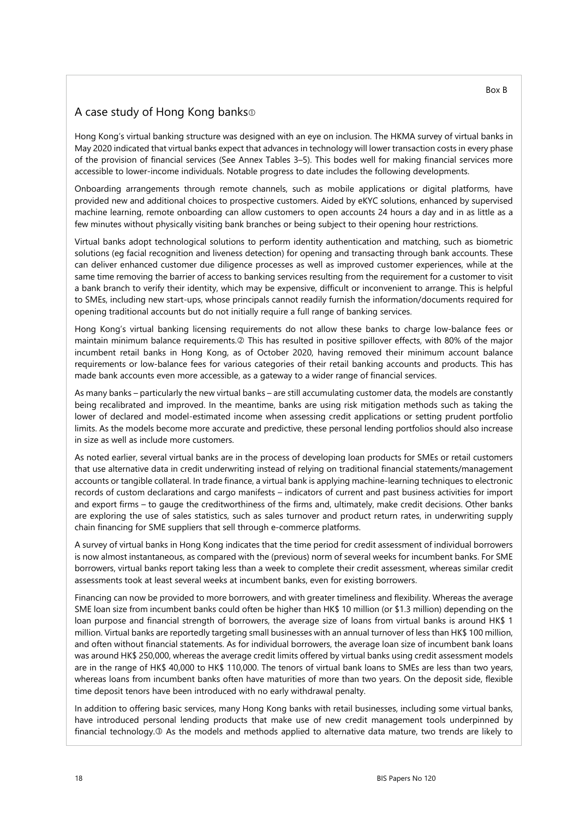### <span id="page-23-0"></span>A case study of Hong Kong banks

Hong Kong's virtual banking structure was designed with an eye on inclusion. The HKMA survey of virtual banks in May 2020 indicated that virtual banks expect that advances in technology will lower transaction costs in every phase of the provision of financial services (See Annex Tables 3–5). This bodes well for making financial services more accessible to lower-income individuals. Notable progress to date includes the following developments.

Onboarding arrangements through remote channels, such as mobile applications or digital platforms, have provided new and additional choices to prospective customers. Aided by eKYC solutions, enhanced by supervised machine learning, remote onboarding can allow customers to open accounts 24 hours a day and in as little as a few minutes without physically visiting bank branches or being subject to their opening hour restrictions.

Virtual banks adopt technological solutions to perform identity authentication and matching, such as biometric solutions (eg facial recognition and liveness detection) for opening and transacting through bank accounts. These can deliver enhanced customer due diligence processes as well as improved customer experiences, while at the same time removing the barrier of access to banking services resulting from the requirement for a customer to visit a bank branch to verify their identity, which may be expensive, difficult or inconvenient to arrange. This is helpful to SMEs, including new start-ups, whose principals cannot readily furnish the information/documents required for opening traditional accounts but do not initially require a full range of banking services.

Hong Kong's virtual banking licensing requirements do not allow these banks to charge low-balance fees or maintain minimum balance requirements. This has resulted in positive spillover effects, with 80% of the major incumbent retail banks in Hong Kong, as of October 2020, having removed their minimum account balance requirements or low-balance fees for various categories of their retail banking accounts and products. This has made bank accounts even more accessible, as a gateway to a wider range of financial services.

As many banks – particularly the new virtual banks – are still accumulating customer data, the models are constantly being recalibrated and improved. In the meantime, banks are using risk mitigation methods such as taking the lower of declared and model-estimated income when assessing credit applications or setting prudent portfolio limits. As the models become more accurate and predictive, these personal lending portfolios should also increase in size as well as include more customers.

As noted earlier, several virtual banks are in the process of developing loan products for SMEs or retail customers that use alternative data in credit underwriting instead of relying on traditional financial statements/management accounts or tangible collateral. In trade finance, a virtual bank is applying machine-learning techniques to electronic records of custom declarations and cargo manifests – indicators of current and past business activities for import and export firms – to gauge the creditworthiness of the firms and, ultimately, make credit decisions. Other banks are exploring the use of sales statistics, such as sales turnover and product return rates, in underwriting supply chain financing for SME suppliers that sell through e-commerce platforms.

A survey of virtual banks in Hong Kong indicates that the time period for credit assessment of individual borrowers is now almost instantaneous, as compared with the (previous) norm of several weeks for incumbent banks. For SME borrowers, virtual banks report taking less than a week to complete their credit assessment, whereas similar credit assessments took at least several weeks at incumbent banks, even for existing borrowers.

Financing can now be provided to more borrowers, and with greater timeliness and flexibility. Whereas the average SME loan size from incumbent banks could often be higher than HK\$ 10 million (or \$1.3 million) depending on the loan purpose and financial strength of borrowers, the average size of loans from virtual banks is around HK\$ 1 million. Virtual banks are reportedly targeting small businesses with an annual turnover of less than HK\$ 100 million, and often without financial statements. As for individual borrowers, the average loan size of incumbent bank loans was around HK\$ 250,000, whereas the average credit limits offered by virtual banks using credit assessment models are in the range of HK\$ 40,000 to HK\$ 110,000. The tenors of virtual bank loans to SMEs are less than two years, whereas loans from incumbent banks often have maturities of more than two years. On the deposit side, flexible time deposit tenors have been introduced with no early withdrawal penalty.

In addition to offering basic services, many Hong Kong banks with retail businesses, including some virtual banks, have introduced personal lending products that make use of new credit management tools underpinned by financial technology.<sup>3</sup> As the models and methods applied to alternative data mature, two trends are likely to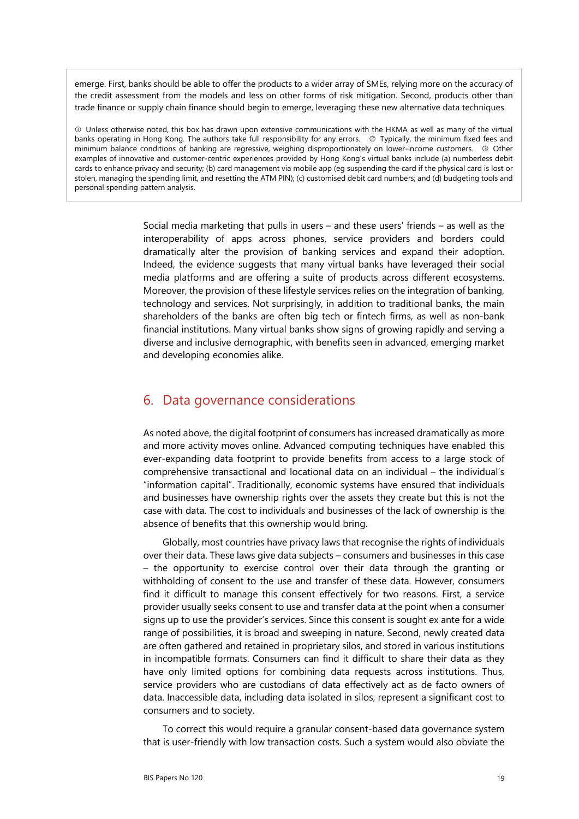emerge. First, banks should be able to offer the products to a wider array of SMEs, relying more on the accuracy of the credit assessment from the models and less on other forms of risk mitigation. Second, products other than trade finance or supply chain finance should begin to emerge, leveraging these new alternative data techniques.

 Unless otherwise noted, this box has drawn upon extensive communications with the HKMA as well as many of the virtual banks operating in Hong Kong. The authors take full responsibility for any errors. @ Typically, the minimum fixed fees and minimum balance conditions of banking are regressive, weighing disproportionately on lower-income customers. <sup>3</sup> Other examples of innovative and customer-centric experiences provided by Hong Kong's virtual banks include (a) numberless debit cards to enhance privacy and security; (b) card management via mobile app (eg suspending the card if the physical card is lost or stolen, managing the spending limit, and resetting the ATM PIN); (c) customised debit card numbers; and (d) budgeting tools and personal spending pattern analysis.

> <span id="page-24-0"></span>Social media marketing that pulls in users – and these users' friends – as well as the interoperability of apps across phones, service providers and borders could dramatically alter the provision of banking services and expand their adoption. Indeed, the evidence suggests that many virtual banks have leveraged their social media platforms and are offering a suite of products across different ecosystems. Moreover, the provision of these lifestyle services relies on the integration of banking, technology and services. Not surprisingly, in addition to traditional banks, the main shareholders of the banks are often big tech or fintech firms, as well as non-bank financial institutions. Many virtual banks show signs of growing rapidly and serving a diverse and inclusive demographic, with benefits seen in advanced, emerging market and developing economies alike.

### 6. Data governance considerations

As noted above, the digital footprint of consumers has increased dramatically as more and more activity moves online. Advanced computing techniques have enabled this ever-expanding data footprint to provide benefits from access to a large stock of comprehensive transactional and locational data on an individual – the individual's "information capital". Traditionally, economic systems have ensured that individuals and businesses have ownership rights over the assets they create but this is not the case with data. The cost to individuals and businesses of the lack of ownership is the absence of benefits that this ownership would bring.

Globally, most countries have privacy laws that recognise the rights of individuals over their data. These laws give data subjects – consumers and businesses in this case – the opportunity to exercise control over their data through the granting or withholding of consent to the use and transfer of these data. However, consumers find it difficult to manage this consent effectively for two reasons. First, a service provider usually seeks consent to use and transfer data at the point when a consumer signs up to use the provider's services. Since this consent is sought ex ante for a wide range of possibilities, it is broad and sweeping in nature. Second, newly created data are often gathered and retained in proprietary silos, and stored in various institutions in incompatible formats. Consumers can find it difficult to share their data as they have only limited options for combining data requests across institutions. Thus, service providers who are custodians of data effectively act as de facto owners of data. Inaccessible data, including data isolated in silos, represent a significant cost to consumers and to society.

To correct this would require a granular consent-based data governance system that is user-friendly with low transaction costs. Such a system would also obviate the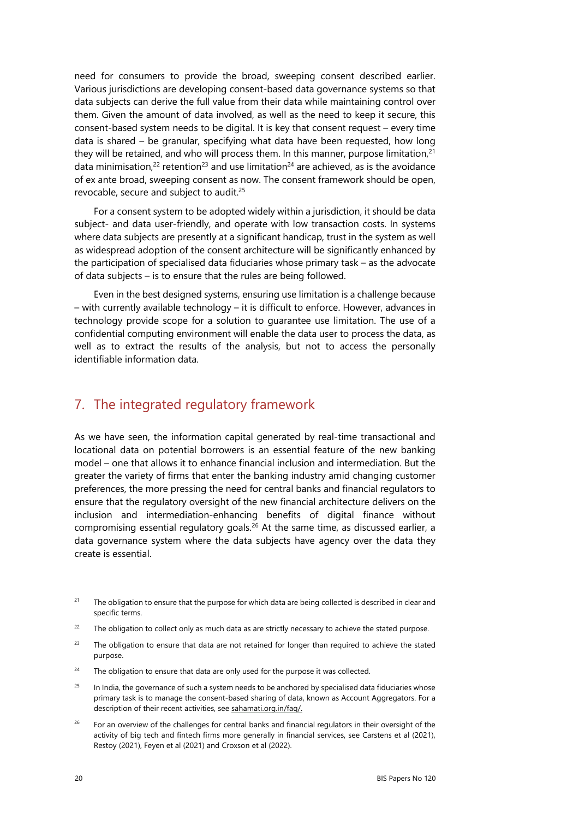need for consumers to provide the broad, sweeping consent described earlier. Various jurisdictions are developing consent-based data governance systems so that data subjects can derive the full value from their data while maintaining control over them. Given the amount of data involved, as well as the need to keep it secure, this consent-based system needs to be digital. It is key that consent request – every time data is shared – be granular, specifying what data have been requested, how long they will be retained, and who will process them. In this manner, purpose limitation, $21$ data minimisation,<sup>22</sup> retention<sup>23</sup> and use limitation<sup>24</sup> are achieved, as is the avoidance of ex ante broad, sweeping consent as now. The consent framework should be open, revocable, secure and subject to audit.<sup>25</sup>

For a consent system to be adopted widely within a jurisdiction, it should be data subject- and data user-friendly, and operate with low transaction costs. In systems where data subjects are presently at a significant handicap, trust in the system as well as widespread adoption of the consent architecture will be significantly enhanced by the participation of specialised data fiduciaries whose primary task – as the advocate of data subjects – is to ensure that the rules are being followed.

Even in the best designed systems, ensuring use limitation is a challenge because – with currently available technology – it is difficult to enforce. However, advances in technology provide scope for a solution to guarantee use limitation. The use of a confidential computing environment will enable the data user to process the data, as well as to extract the results of the analysis, but not to access the personally identifiable information data.

# <span id="page-25-0"></span>7. The integrated regulatory framework

As we have seen, the information capital generated by real-time transactional and locational data on potential borrowers is an essential feature of the new banking model – one that allows it to enhance financial inclusion and intermediation. But the greater the variety of firms that enter the banking industry amid changing customer preferences, the more pressing the need for central banks and financial regulators to ensure that the regulatory oversight of the new financial architecture delivers on the inclusion and intermediation-enhancing benefits of digital finance without compromising essential regulatory goals.[26](#page-25-1) At the same time, as discussed earlier, a data governance system where the data subjects have agency over the data they create is essential.

- <span id="page-25-6"></span><sup>21</sup> The obligation to ensure that the purpose for which data are being collected is described in clear and specific terms.
- <span id="page-25-5"></span> $22$  The obligation to collect only as much data as are strictly necessary to achieve the stated purpose.
- <span id="page-25-4"></span><sup>23</sup> The obligation to ensure that data are not retained for longer than required to achieve the stated purpose.
- <span id="page-25-3"></span> $24$  The obligation to ensure that data are only used for the purpose it was collected.
- <span id="page-25-2"></span><sup>25</sup> In India, the governance of such a system needs to be anchored by specialised data fiduciaries whose primary task is to manage the consent-based sharing of data, known as Account Aggregators. For a description of their recent activities, see sahamati.org.in/faq/.
- <span id="page-25-1"></span><sup>26</sup> For an overview of the challenges for central banks and financial regulators in their oversight of the activity of big tech and fintech firms more generally in financial services, see Carstens et al (2021), Restoy (2021), Feyen et al (2021) and Croxson et al (2022).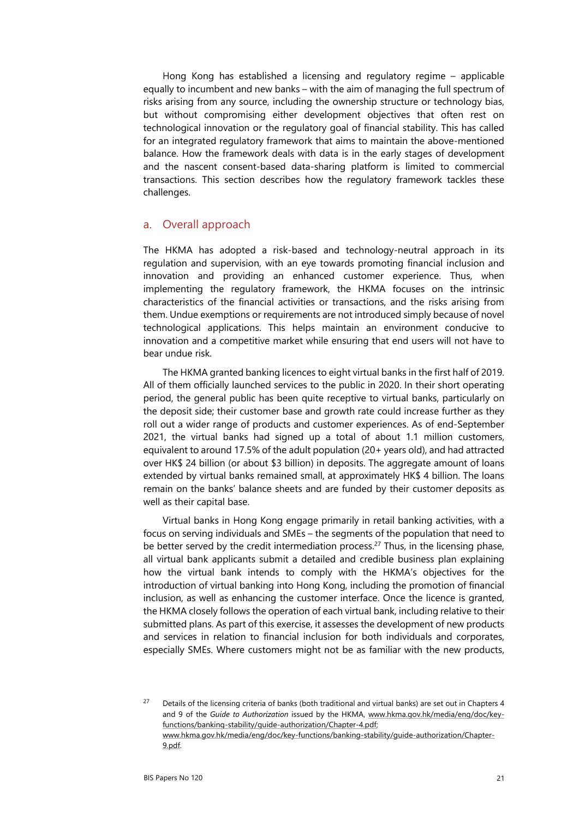Hong Kong has established a licensing and regulatory regime – applicable equally to incumbent and new banks – with the aim of managing the full spectrum of risks arising from any source, including the ownership structure or technology bias, but without compromising either development objectives that often rest on technological innovation or the regulatory goal of financial stability. This has called for an integrated regulatory framework that aims to maintain the above-mentioned balance. How the framework deals with data is in the early stages of development and the nascent consent-based data-sharing platform is limited to commercial transactions. This section describes how the regulatory framework tackles these challenges.

#### <span id="page-26-0"></span>a. Overall approach

The HKMA has adopted a risk-based and technology-neutral approach in its regulation and supervision, with an eye towards promoting financial inclusion and innovation and providing an enhanced customer experience. Thus, when implementing the regulatory framework, the HKMA focuses on the intrinsic characteristics of the financial activities or transactions, and the risks arising from them. Undue exemptions or requirements are not introduced simply because of novel technological applications. This helps maintain an environment conducive to innovation and a competitive market while ensuring that end users will not have to bear undue risk.

The HKMA granted banking licences to eight virtual banks in the first half of 2019. All of them officially launched services to the public in 2020. In their short operating period, the general public has been quite receptive to virtual banks, particularly on the deposit side; their customer base and growth rate could increase further as they roll out a wider range of products and customer experiences. As of end-September 2021, the virtual banks had signed up a total of about 1.1 million customers, equivalent to around 17.5% of the adult population (20+ years old), and had attracted over HK\$ 24 billion (or about \$3 billion) in deposits. The aggregate amount of loans extended by virtual banks remained small, at approximately HK\$ 4 billion. The loans remain on the banks' balance sheets and are funded by their customer deposits as well as their capital base.

Virtual banks in Hong Kong engage primarily in retail banking activities, with a focus on serving individuals and SMEs – the segments of the population that need to be better served by the credit intermediation process.<sup>27</sup> Thus, in the licensing phase, all virtual bank applicants submit a detailed and credible business plan explaining how the virtual bank intends to comply with the HKMA's objectives for the introduction of virtual banking into Hong Kong, including the promotion of financial inclusion, as well as enhancing the customer interface. Once the licence is granted, the HKMA closely follows the operation of each virtual bank, including relative to their submitted plans. As part of this exercise, it assesses the development of new products and services in relation to financial inclusion for both individuals and corporates, especially SMEs. Where customers might not be as familiar with the new products,

<span id="page-26-1"></span><sup>&</sup>lt;sup>27</sup> Details of the licensing criteria of banks (both traditional and virtual banks) are set out in Chapters 4 and 9 of the *Guide to Authorization* issued by the HKMA, [www.hkma.gov.hk/media/eng/doc/key](http://www.hkma.gov.hk/media/eng/doc/key-functions/banking-stability/guide-authorization/Chapter-4.pdf)[functions/banking-stability/guide-authorization/Chapter-4.pdf;](http://www.hkma.gov.hk/media/eng/doc/key-functions/banking-stability/guide-authorization/Chapter-4.pdf) 

[www.hkma.gov.hk/media/eng/doc/key-functions/banking-stability/guide-authorization/Chapter-](http://www.hkma.gov.hk/media/eng/doc/key-functions/banking-stability/guide-authorization/Chapter-9.pdf)[9.pdf.](http://www.hkma.gov.hk/media/eng/doc/key-functions/banking-stability/guide-authorization/Chapter-9.pdf)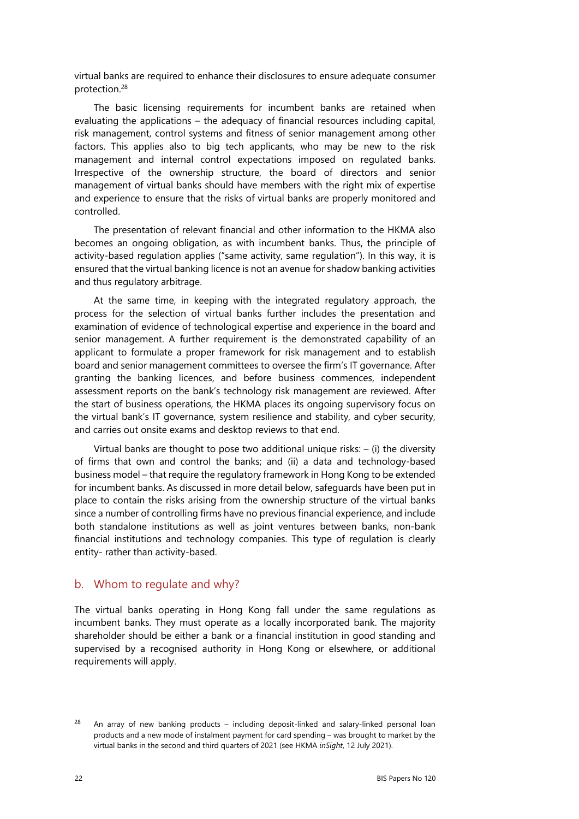virtual banks are required to enhance their disclosures to ensure adequate consumer protection.[28](#page-27-1)

The basic licensing requirements for incumbent banks are retained when evaluating the applications – the adequacy of financial resources including capital, risk management, control systems and fitness of senior management among other factors. This applies also to big tech applicants, who may be new to the risk management and internal control expectations imposed on regulated banks. Irrespective of the ownership structure, the board of directors and senior management of virtual banks should have members with the right mix of expertise and experience to ensure that the risks of virtual banks are properly monitored and controlled.

The presentation of relevant financial and other information to the HKMA also becomes an ongoing obligation, as with incumbent banks. Thus, the principle of activity-based regulation applies ("same activity, same regulation"). In this way, it is ensured that the virtual banking licence is not an avenue for shadow banking activities and thus regulatory arbitrage.

At the same time, in keeping with the integrated regulatory approach, the process for the selection of virtual banks further includes the presentation and examination of evidence of technological expertise and experience in the board and senior management. A further requirement is the demonstrated capability of an applicant to formulate a proper framework for risk management and to establish board and senior management committees to oversee the firm's IT governance. After granting the banking licences, and before business commences, independent assessment reports on the bank's technology risk management are reviewed. After the start of business operations, the HKMA places its ongoing supervisory focus on the virtual bank's IT governance, system resilience and stability, and cyber security, and carries out onsite exams and desktop reviews to that end.

Virtual banks are thought to pose two additional unique risks:  $-$  (i) the diversity of firms that own and control the banks; and (ii) a data and technology-based business model – that require the regulatory framework in Hong Kong to be extended for incumbent banks. As discussed in more detail below, safeguards have been put in place to contain the risks arising from the ownership structure of the virtual banks since a number of controlling firms have no previous financial experience, and include both standalone institutions as well as joint ventures between banks, non-bank financial institutions and technology companies. This type of regulation is clearly entity- rather than activity-based.

#### <span id="page-27-0"></span>b. Whom to regulate and why?

The virtual banks operating in Hong Kong fall under the same regulations as incumbent banks. They must operate as a locally incorporated bank. The majority shareholder should be either a bank or a financial institution in good standing and supervised by a recognised authority in Hong Kong or elsewhere, or additional requirements will apply.

<span id="page-27-1"></span> $28$  An array of new banking products – including deposit-linked and salary-linked personal loan products and a new mode of instalment payment for card spending – was brought to market by the virtual banks in the second and third quarters of 2021 (see HKMA *inSight*, 12 July 2021).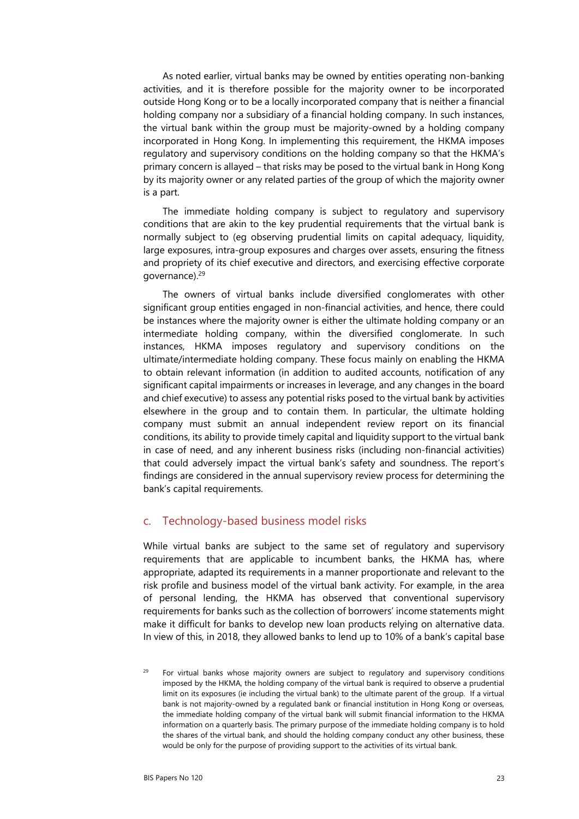As noted earlier, virtual banks may be owned by entities operating non-banking activities, and it is therefore possible for the majority owner to be incorporated outside Hong Kong or to be a locally incorporated company that is neither a financial holding company nor a subsidiary of a financial holding company. In such instances, the virtual bank within the group must be majority-owned by a holding company incorporated in Hong Kong. In implementing this requirement, the HKMA imposes regulatory and supervisory conditions on the holding company so that the HKMA's primary concern is allayed – that risks may be posed to the virtual bank in Hong Kong by its majority owner or any related parties of the group of which the majority owner is a part.

The immediate holding company is subject to regulatory and supervisory conditions that are akin to the key prudential requirements that the virtual bank is normally subject to (eg observing prudential limits on capital adequacy, liquidity, large exposures, intra-group exposures and charges over assets, ensuring the fitness and propriety of its chief executive and directors, and exercising effective corporate governance).[29](#page-28-1) 

The owners of virtual banks include diversified conglomerates with other significant group entities engaged in non-financial activities, and hence, there could be instances where the majority owner is either the ultimate holding company or an intermediate holding company, within the diversified conglomerate. In such instances, HKMA imposes regulatory and supervisory conditions on the ultimate/intermediate holding company. These focus mainly on enabling the HKMA to obtain relevant information (in addition to audited accounts, notification of any significant capital impairments or increases in leverage, and any changes in the board and chief executive) to assess any potential risks posed to the virtual bank by activities elsewhere in the group and to contain them. In particular, the ultimate holding company must submit an annual independent review report on its financial conditions, its ability to provide timely capital and liquidity support to the virtual bank in case of need, and any inherent business risks (including non-financial activities) that could adversely impact the virtual bank's safety and soundness. The report's findings are considered in the annual supervisory review process for determining the bank's capital requirements.

### <span id="page-28-0"></span>c. Technology-based business model risks

While virtual banks are subject to the same set of regulatory and supervisory requirements that are applicable to incumbent banks, the HKMA has, where appropriate, adapted its requirements in a manner proportionate and relevant to the risk profile and business model of the virtual bank activity. For example, in the area of personal lending, the HKMA has observed that conventional supervisory requirements for banks such as the collection of borrowers' income statements might make it difficult for banks to develop new loan products relying on alternative data. In view of this, in 2018, they allowed banks to lend up to 10% of a bank's capital base

<span id="page-28-1"></span>For virtual banks whose majority owners are subject to regulatory and supervisory conditions imposed by the HKMA, the holding company of the virtual bank is required to observe a prudential limit on its exposures (ie including the virtual bank) to the ultimate parent of the group. If a virtual bank is not majority-owned by a regulated bank or financial institution in Hong Kong or overseas, the immediate holding company of the virtual bank will submit financial information to the HKMA information on a quarterly basis. The primary purpose of the immediate holding company is to hold the shares of the virtual bank, and should the holding company conduct any other business, these would be only for the purpose of providing support to the activities of its virtual bank.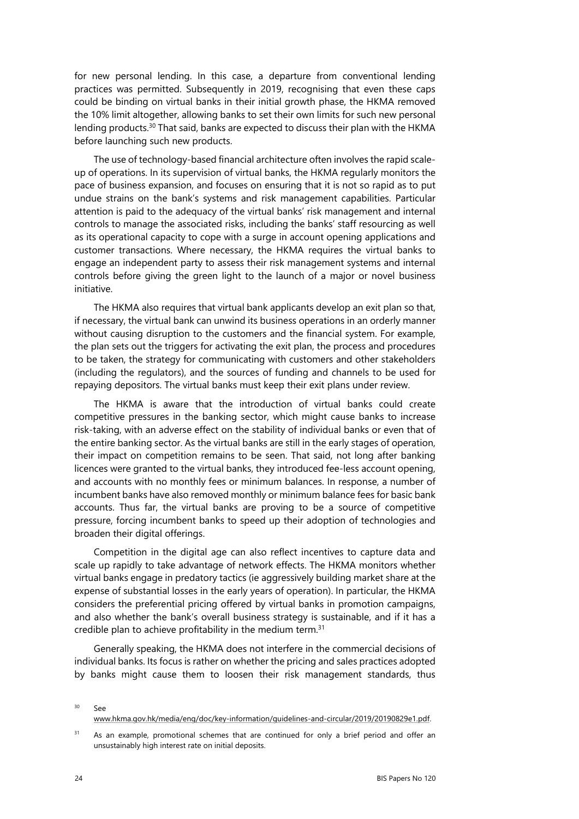for new personal lending. In this case, a departure from conventional lending practices was permitted. Subsequently in 2019, recognising that even these caps could be binding on virtual banks in their initial growth phase, the HKMA removed the 10% limit altogether, allowing banks to set their own limits for such new personal lending products.[30](#page-29-1) That said, banks are expected to discuss their plan with the HKMA before launching such new products.

The use of technology-based financial architecture often involves the rapid scaleup of operations. In its supervision of virtual banks, the HKMA regularly monitors the pace of business expansion, and focuses on ensuring that it is not so rapid as to put undue strains on the bank's systems and risk management capabilities. Particular attention is paid to the adequacy of the virtual banks' risk management and internal controls to manage the associated risks, including the banks' staff resourcing as well as its operational capacity to cope with a surge in account opening applications and customer transactions. Where necessary, the HKMA requires the virtual banks to engage an independent party to assess their risk management systems and internal controls before giving the green light to the launch of a major or novel business initiative.

The HKMA also requires that virtual bank applicants develop an exit plan so that, if necessary, the virtual bank can unwind its business operations in an orderly manner without causing disruption to the customers and the financial system. For example, the plan sets out the triggers for activating the exit plan, the process and procedures to be taken, the strategy for communicating with customers and other stakeholders (including the regulators), and the sources of funding and channels to be used for repaying depositors. The virtual banks must keep their exit plans under review.

The HKMA is aware that the introduction of virtual banks could create competitive pressures in the banking sector, which might cause banks to increase risk-taking, with an adverse effect on the stability of individual banks or even that of the entire banking sector. As the virtual banks are still in the early stages of operation, their impact on competition remains to be seen. That said, not long after banking licences were granted to the virtual banks, they introduced fee-less account opening, and accounts with no monthly fees or minimum balances. In response, a number of incumbent banks have also removed monthly or minimum balance fees for basic bank accounts. Thus far, the virtual banks are proving to be a source of competitive pressure, forcing incumbent banks to speed up their adoption of technologies and broaden their digital offerings.

Competition in the digital age can also reflect incentives to capture data and scale up rapidly to take advantage of network effects. The HKMA monitors whether virtual banks engage in predatory tactics (ie aggressively building market share at the expense of substantial losses in the early years of operation). In particular, the HKMA considers the preferential pricing offered by virtual banks in promotion campaigns, and also whether the bank's overall business strategy is sustainable, and if it has a credible plan to achieve profitability in the medium term.<sup>[31](#page-29-0)</sup>

Generally speaking, the HKMA does not interfere in the commercial decisions of individual banks. Its focus is rather on whether the pricing and sales practices adopted by banks might cause them to loosen their risk management standards, thus

<span id="page-29-1"></span> $30 \quad S$ ee www.hkma.gov.hk/media/eng/doc/key-information/guidelines-and-circular/2019/20190829e1.pdf.

<span id="page-29-0"></span> $31$  As an example, promotional schemes that are continued for only a brief period and offer an unsustainably high interest rate on initial deposits.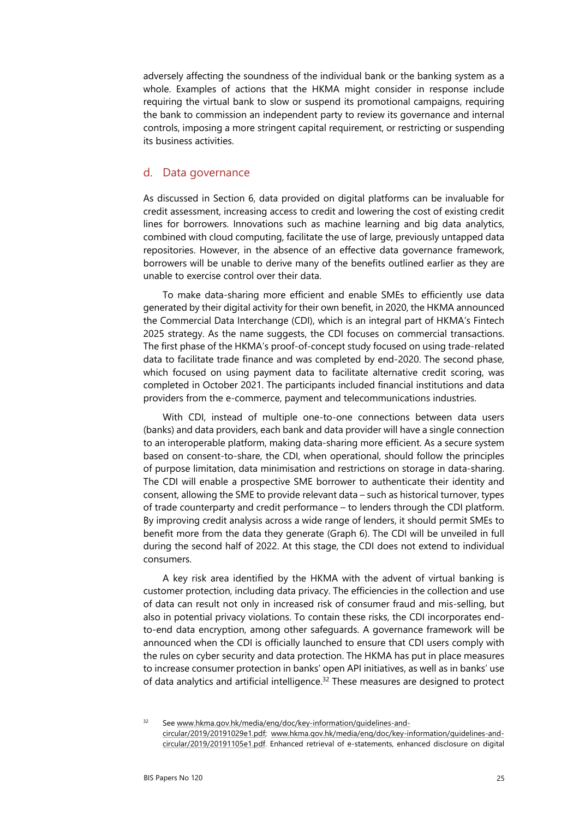adversely affecting the soundness of the individual bank or the banking system as a whole. Examples of actions that the HKMA might consider in response include requiring the virtual bank to slow or suspend its promotional campaigns, requiring the bank to commission an independent party to review its governance and internal controls, imposing a more stringent capital requirement, or restricting or suspending its business activities.

#### <span id="page-30-0"></span>d. Data governance

As discussed in Section 6, data provided on digital platforms can be invaluable for credit assessment, increasing access to credit and lowering the cost of existing credit lines for borrowers. Innovations such as machine learning and big data analytics, combined with cloud computing, facilitate the use of large, previously untapped data repositories. However, in the absence of an effective data governance framework, borrowers will be unable to derive many of the benefits outlined earlier as they are unable to exercise control over their data.

To make data-sharing more efficient and enable SMEs to efficiently use data generated by their digital activity for their own benefit, in 2020, the HKMA announced the Commercial Data Interchange (CDI), which is an integral part of HKMA's Fintech 2025 strategy. As the name suggests, the CDI focuses on commercial transactions. The first phase of the HKMA's proof-of-concept study focused on using trade-related data to facilitate trade finance and was completed by end-2020. The second phase, which focused on using payment data to facilitate alternative credit scoring, was completed in October 2021. The participants included financial institutions and data providers from the e-commerce, payment and telecommunications industries.

With CDI, instead of multiple one-to-one connections between data users (banks) and data providers, each bank and data provider will have a single connection to an interoperable platform, making data-sharing more efficient. As a secure system based on consent-to-share, the CDI, when operational, should follow the principles of purpose limitation, data minimisation and restrictions on storage in data-sharing. The CDI will enable a prospective SME borrower to authenticate their identity and consent, allowing the SME to provide relevant data – such as historical turnover, types of trade counterparty and credit performance – to lenders through the CDI platform. By improving credit analysis across a wide range of lenders, it should permit SMEs to benefit more from the data they generate (Graph 6). The CDI will be unveiled in full during the second half of 2022. At this stage, the CDI does not extend to individual consumers.

A key risk area identified by the HKMA with the advent of virtual banking is customer protection, including data privacy. The efficiencies in the collection and use of data can result not only in increased risk of consumer fraud and mis-selling, but also in potential privacy violations. To contain these risks, the CDI incorporates endto-end data encryption, among other safeguards. A governance framework will be announced when the CDI is officially launched to ensure that CDI users comply with the rules on cyber security and data protection. The HKMA has put in place measures to increase consumer protection in banks' open API initiatives, as well as in banks' use of data analytics and artificial intelligence.<sup>32</sup> These measures are designed to protect

<span id="page-30-1"></span>32 See [www.hkma.gov.hk/media/eng/doc/key-information/guidelines-and](http://www.hkma.gov.hk/media/eng/doc/key-information/guidelines-and-circular/2019/20191029e1.pdf)[circular/2019/20191029e1.pdf;](http://www.hkma.gov.hk/media/eng/doc/key-information/guidelines-and-circular/2019/20191029e1.pdf) [www.hkma.gov.hk/media/eng/doc/key-information/guidelines-and](http://www.hkma.gov.hk/media/eng/doc/key-information/guidelines-and-circular/2019/20191105e1.pdf)[circular/2019/20191105e1.pdf.](http://www.hkma.gov.hk/media/eng/doc/key-information/guidelines-and-circular/2019/20191105e1.pdf) Enhanced retrieval of e-statements, enhanced disclosure on digital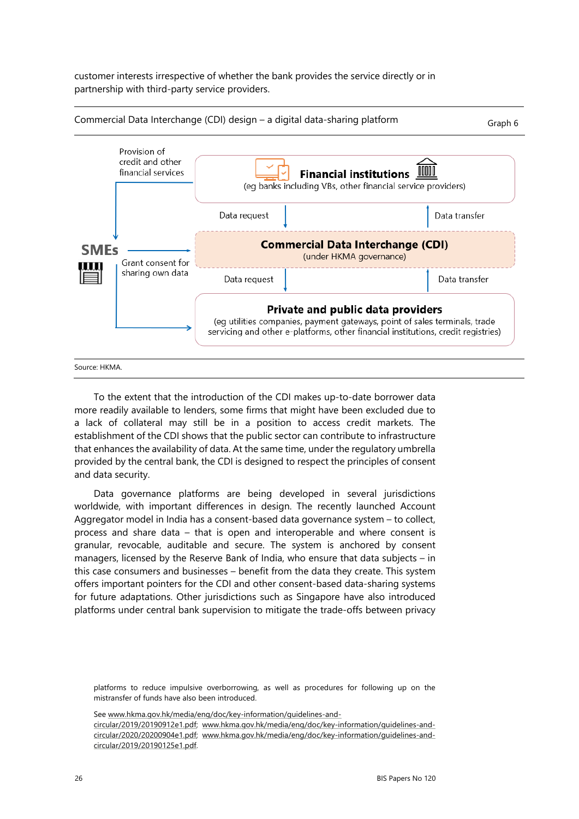customer interests irrespective of whether the bank provides the service directly or in partnership with third-party service providers.



To the extent that the introduction of the CDI makes up-to-date borrower data more readily available to lenders, some firms that might have been excluded due to a lack of collateral may still be in a position to access credit markets. The establishment of the CDI shows that the public sector can contribute to infrastructure that enhances the availability of data. At the same time, under the regulatory umbrella provided by the central bank, the CDI is designed to respect the principles of consent and data security.

Data governance platforms are being developed in several jurisdictions worldwide, with important differences in design. The recently launched Account Aggregator model in India has a consent-based data governance system – to collect, process and share data – that is open and interoperable and where consent is granular, revocable, auditable and secure. The system is anchored by consent managers, licensed by the Reserve Bank of India, who ensure that data subjects – in this case consumers and businesses – benefit from the data they create. This system offers important pointers for the CDI and other consent-based data-sharing systems for future adaptations. Other jurisdictions such as Singapore have also introduced platforms under central bank supervision to mitigate the trade-offs between privacy

platforms to reduce impulsive overborrowing, as well as procedures for following up on the mistransfer of funds have also been introduced.

Se[e www.hkma.gov.hk/media/eng/doc/key-information/guidelines-and-](http://www.hkma.gov.hk/media/eng/doc/key-information/guidelines-and-circular/2019/20190912e1.pdf)

[circular/2019/20190912e1.pdf;](http://www.hkma.gov.hk/media/eng/doc/key-information/guidelines-and-circular/2019/20190912e1.pdf) [www.hkma.gov.hk/media/eng/doc/key-information/guidelines-and](http://www.hkma.gov.hk/media/eng/doc/key-information/guidelines-and-circular/2020/20200904e1.pdf)[circular/2020/20200904e1.pdf;](http://www.hkma.gov.hk/media/eng/doc/key-information/guidelines-and-circular/2020/20200904e1.pdf) [www.hkma.gov.hk/media/eng/doc/key-information/guidelines-and](http://www.hkma.gov.hk/media/eng/doc/key-information/guidelines-and-circular/2019/20190125e1.pdf)[circular/2019/20190125e1.pdf.](http://www.hkma.gov.hk/media/eng/doc/key-information/guidelines-and-circular/2019/20190125e1.pdf)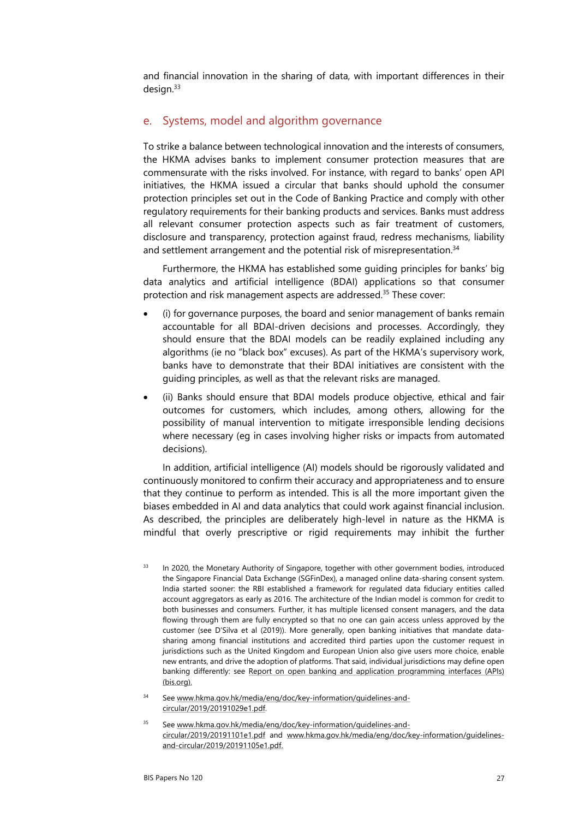and financial innovation in the sharing of data, with important differences in their design.[33](#page-32-3) 

#### <span id="page-32-0"></span>e. Systems, model and algorithm governance

To strike a balance between technological innovation and the interests of consumers, the HKMA advises banks to implement consumer protection measures that are commensurate with the risks involved. For instance, with regard to banks' open API initiatives, the HKMA issued a circular that banks should uphold the consumer protection principles set out in the Code of Banking Practice and comply with other regulatory requirements for their banking products and services. Banks must address all relevant consumer protection aspects such as fair treatment of customers, disclosure and transparency, protection against fraud, redress mechanisms, liability and settlement arrangement and the potential risk of misrepresentation.<sup>34</sup>

Furthermore, the HKMA has established some guiding principles for banks' big data analytics and artificial intelligence (BDAI) applications so that consumer protection and risk management aspects are addressed.<sup>35</sup> These cover:

- (i) for governance purposes, the board and senior management of banks remain accountable for all BDAI-driven decisions and processes. Accordingly, they should ensure that the BDAI models can be readily explained including any algorithms (ie no "black box" excuses). As part of the HKMA's supervisory work, banks have to demonstrate that their BDAI initiatives are consistent with the guiding principles, as well as that the relevant risks are managed.
- (ii) Banks should ensure that BDAI models produce objective, ethical and fair outcomes for customers, which includes, among others, allowing for the possibility of manual intervention to mitigate irresponsible lending decisions where necessary (eg in cases involving higher risks or impacts from automated decisions).

In addition, artificial intelligence (AI) models should be rigorously validated and continuously monitored to confirm their accuracy and appropriateness and to ensure that they continue to perform as intended. This is all the more important given the biases embedded in AI and data analytics that could work against financial inclusion. As described, the principles are deliberately high-level in nature as the HKMA is mindful that overly prescriptive or rigid requirements may inhibit the further

- <span id="page-32-3"></span><sup>33</sup> In 2020, the Monetary Authority of Singapore, together with other government bodies, introduced the Singapore Financial Data Exchange (SGFinDex), a managed online data-sharing consent system. India started sooner: the RBI established a framework for regulated data fiduciary entities called account aggregators as early as 2016. The architecture of the Indian model is common for credit to both businesses and consumers. Further, it has multiple licensed consent managers, and the data flowing through them are fully encrypted so that no one can gain access unless approved by the customer (see D'Silva et al (2019)). More generally, open banking initiatives that mandate datasharing among financial institutions and accredited third parties upon the customer request in jurisdictions such as the United Kingdom and European Union also give users more choice, enable new entrants, and drive the adoption of platforms. That said, individual jurisdictions may define open banking differently: see [Report on open banking and application programming interfaces \(APIs\)](https://www.bis.org/bcbs/publ/d486.pdf)  [\(bis.org\).](https://www.bis.org/bcbs/publ/d486.pdf)
- <span id="page-32-2"></span>See www.hkma.gov.hk/media/eng/doc/key-information/guidelines-andcircular/2019/20191029e1.pdf.
- <span id="page-32-1"></span>35 See [www.hkma.gov.hk/media/eng/doc/key-information/guidelines-and](http://www.hkma.gov.hk/media/eng/doc/key-information/guidelines-and-circular/2019/20191101e1.pdf)[circular/2019/20191101e1.pdf](http://www.hkma.gov.hk/media/eng/doc/key-information/guidelines-and-circular/2019/20191101e1.pdf) and [www.hkma.gov.hk/media/eng/doc/key-information/guidelines](https://www.hkma.gov.hk/media/eng/doc/key-information/guidelines-and-circular/2019/20191105e1.pdf)[and-circular/2019/20191105e1.pdf.](https://www.hkma.gov.hk/media/eng/doc/key-information/guidelines-and-circular/2019/20191105e1.pdf)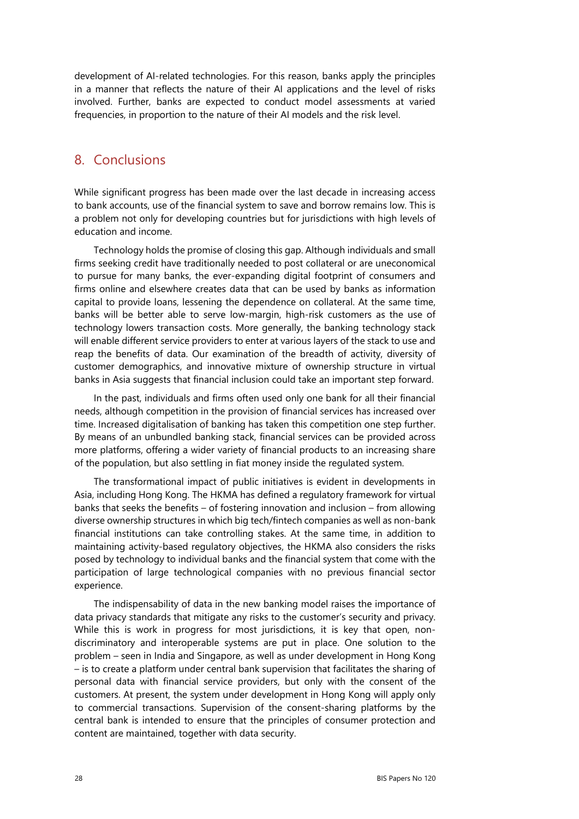development of AI-related technologies. For this reason, banks apply the principles in a manner that reflects the nature of their AI applications and the level of risks involved. Further, banks are expected to conduct model assessments at varied frequencies, in proportion to the nature of their AI models and the risk level.

# <span id="page-33-0"></span>8. Conclusions

While significant progress has been made over the last decade in increasing access to bank accounts, use of the financial system to save and borrow remains low. This is a problem not only for developing countries but for jurisdictions with high levels of education and income.

Technology holds the promise of closing this gap. Although individuals and small firms seeking credit have traditionally needed to post collateral or are uneconomical to pursue for many banks, the ever-expanding digital footprint of consumers and firms online and elsewhere creates data that can be used by banks as information capital to provide loans, lessening the dependence on collateral. At the same time, banks will be better able to serve low-margin, high-risk customers as the use of technology lowers transaction costs. More generally, the banking technology stack will enable different service providers to enter at various layers of the stack to use and reap the benefits of data. Our examination of the breadth of activity, diversity of customer demographics, and innovative mixture of ownership structure in virtual banks in Asia suggests that financial inclusion could take an important step forward.

In the past, individuals and firms often used only one bank for all their financial needs, although competition in the provision of financial services has increased over time. Increased digitalisation of banking has taken this competition one step further. By means of an unbundled banking stack, financial services can be provided across more platforms, offering a wider variety of financial products to an increasing share of the population, but also settling in fiat money inside the regulated system.

The transformational impact of public initiatives is evident in developments in Asia, including Hong Kong. The HKMA has defined a regulatory framework for virtual banks that seeks the benefits – of fostering innovation and inclusion – from allowing diverse ownership structures in which big tech/fintech companies as well as non-bank financial institutions can take controlling stakes. At the same time, in addition to maintaining activity-based regulatory objectives, the HKMA also considers the risks posed by technology to individual banks and the financial system that come with the participation of large technological companies with no previous financial sector experience.

The indispensability of data in the new banking model raises the importance of data privacy standards that mitigate any risks to the customer's security and privacy. While this is work in progress for most jurisdictions, it is key that open, nondiscriminatory and interoperable systems are put in place. One solution to the problem – seen in India and Singapore, as well as under development in Hong Kong – is to create a platform under central bank supervision that facilitates the sharing of personal data with financial service providers, but only with the consent of the customers. At present, the system under development in Hong Kong will apply only to commercial transactions. Supervision of the consent-sharing platforms by the central bank is intended to ensure that the principles of consumer protection and content are maintained, together with data security.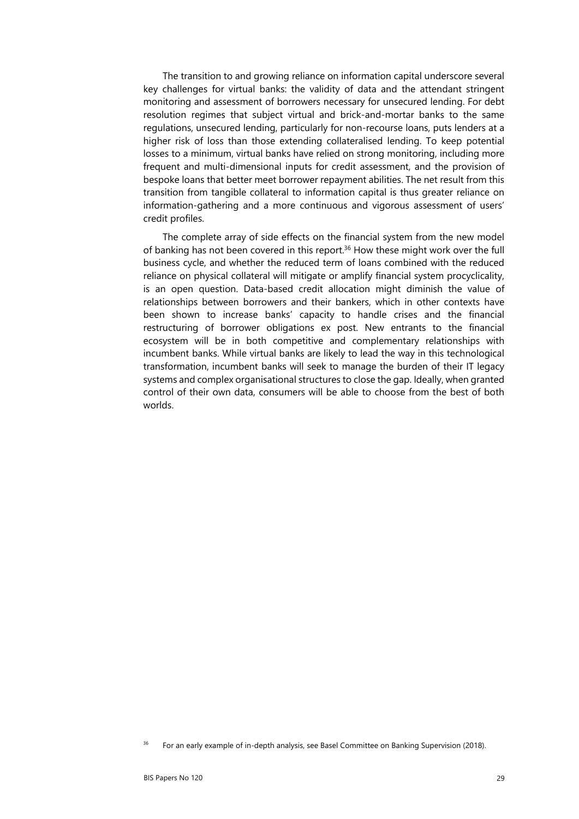The transition to and growing reliance on information capital underscore several key challenges for virtual banks: the validity of data and the attendant stringent monitoring and assessment of borrowers necessary for unsecured lending. For debt resolution regimes that subject virtual and brick-and-mortar banks to the same regulations, unsecured lending, particularly for non-recourse loans, puts lenders at a higher risk of loss than those extending collateralised lending. To keep potential losses to a minimum, virtual banks have relied on strong monitoring, including more frequent and multi-dimensional inputs for credit assessment, and the provision of bespoke loans that better meet borrower repayment abilities. The net result from this transition from tangible collateral to information capital is thus greater reliance on information-gathering and a more continuous and vigorous assessment of users' credit profiles.

The complete array of side effects on the financial system from the new model of banking has not been covered in this report.<sup>36</sup> How these might work over the full business cycle, and whether the reduced term of loans combined with the reduced reliance on physical collateral will mitigate or amplify financial system procyclicality, is an open question. Data-based credit allocation might diminish the value of relationships between borrowers and their bankers, which in other contexts have been shown to increase banks' capacity to handle crises and the financial restructuring of borrower obligations ex post. New entrants to the financial ecosystem will be in both competitive and complementary relationships with incumbent banks. While virtual banks are likely to lead the way in this technological transformation, incumbent banks will seek to manage the burden of their IT legacy systems and complex organisational structures to close the gap. Ideally, when granted control of their own data, consumers will be able to choose from the best of both worlds.

<span id="page-34-0"></span><sup>&</sup>lt;sup>36</sup> For an early example of in-depth analysis, see Basel Committee on Banking Supervision (2018).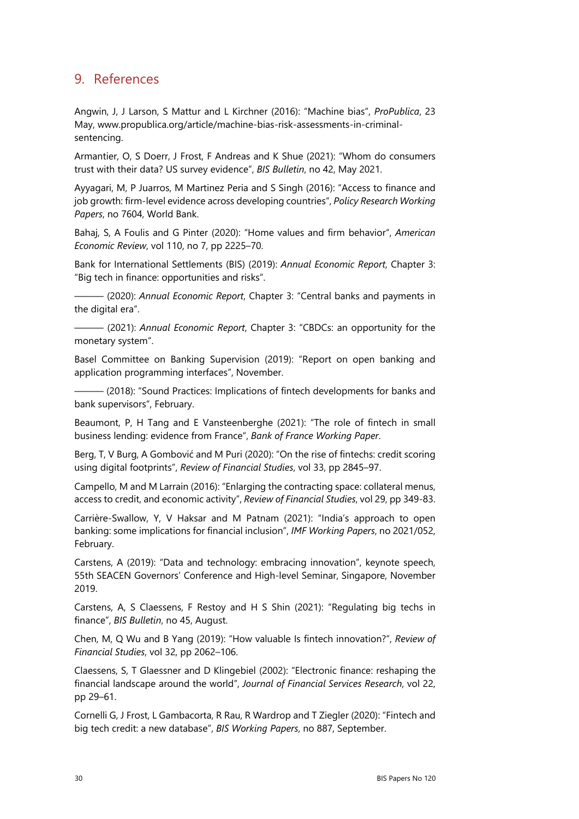# <span id="page-35-0"></span>9. References

Angwin, J, J Larson, S Mattur and L Kirchner (2016): "Machine bias", *ProPublica*, 23 May, [www.propublica.org/article/machine-bias-risk-assessments-in-criminal](http://www.propublica.org/article/machine-bias-risk-assessments-in-criminal-sentencing)[sentencing.](http://www.propublica.org/article/machine-bias-risk-assessments-in-criminal-sentencing) 

Armantier, O, S Doerr, J Frost, F Andreas and K Shue (2021): "Whom do consumers trust with their data? US survey evidence", *BIS Bulletin*, no 42, May 2021.

Ayyagari, M, P Juarros, M Martinez Peria and S Singh (2016): "Access to finance and job growth: firm-level evidence across developing countries", *Policy Research Working Papers*, no 7604, World Bank.

Bahaj, S, A Foulis and G Pinter (2020): "Home values and firm behavior", *American Economic Review*, vol 110, no 7, pp 2225–70.

Bank for International Settlements (BIS) (2019): *Annual Economic Report*, Chapter 3: "Big tech in finance: opportunities and risks".

——— (2020): *Annual Economic Report*, Chapter 3: "Central banks and payments in the digital era".

——— (2021): *Annual Economic Report*, Chapter 3: "CBDCs: an opportunity for the monetary system".

Basel Committee on Banking Supervision (2019): "Report on open banking and application programming interfaces", November.

- (2018): "Sound Practices: Implications of fintech developments for banks and bank supervisors", February.

Beaumont, P, H Tang and E Vansteenberghe (2021): "The role of fintech in small business lending: evidence from France", *Bank of France Working Paper*.

Berg, T, V Burg, A Gombović and M Puri (2020): "On the rise of fintechs: credit scoring using digital footprints", *Review of Financial Studies*, vol 33, pp 2845–97.

Campello, M and M Larrain (2016): "Enlarging the contracting space: collateral menus, access to credit, and economic activity", *Review of Financial Studies*, vol 29, pp 349-83.

Carrière-Swallow, Y, V Haksar and M Patnam (2021): "India's approach to open banking: some implications for financial inclusion", *IMF Working Papers*, no 2021/052, February.

Carstens, A (2019): "Data and technology: embracing innovation", keynote speech, 55th SEACEN Governors' Conference and High-level Seminar, Singapore, November 2019.

Carstens, A, S Claessens, F Restoy and H S Shin (2021): "Regulating big techs in finance", *BIS Bulletin*, no 45, August.

Chen, M, Q Wu and B Yang (2019): "How valuable Is fintech innovation?", *Review of Financial Studies*, vol 32, pp 2062–106.

Claessens, S, T Glaessner and D Klingebiel (2002): "Electronic finance: reshaping the financial landscape around the world", *Journal of Financial Services Research*, vol 22, pp 29–61.

Cornelli G, J Frost, L Gambacorta, R Rau, R Wardrop and T Ziegler (2020): "Fintech and big tech credit: a new database", *BIS Working Papers*, no 887, September.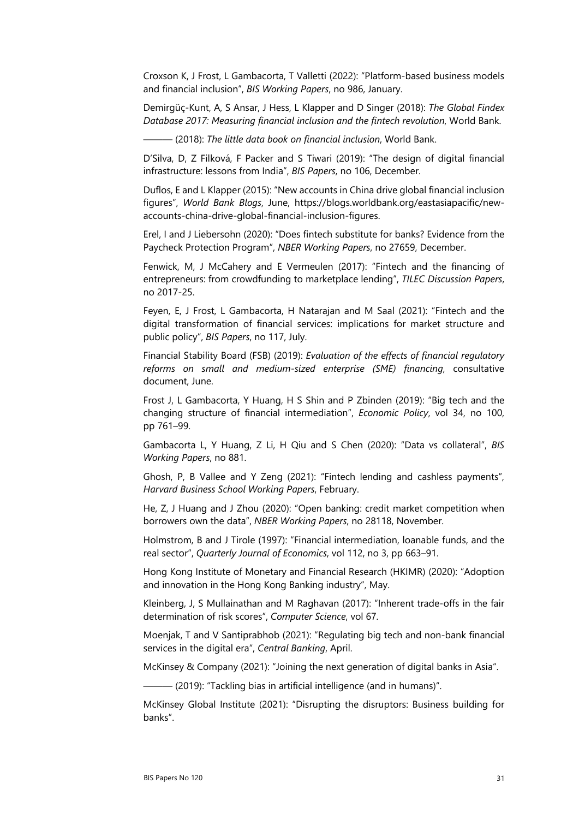Croxson K, J Frost, L Gambacorta, T Valletti (2022): "Platform-based business models and financial inclusion", *BIS Working Papers*, no 986, January.

Demirgüç-Kunt, A, S Ansar, J Hess, L Klapper and D Singer (2018): *The Global Findex Database 2017: Measuring financial inclusion and the fintech revolution*, World Bank.

——— (2018): *The little data book on financial inclusion*, World Bank.

D'Silva, D, Z Filková, F Packer and S Tiwari (2019): "The design of digital financial infrastructure: lessons from India", *BIS Papers*, no 106, December.

Duflos, E and L Klapper (2015): "New accounts in China drive global financial inclusion figures", *World Bank Blogs*, June, [https://blogs.worldbank.org/eastasiapacific/new](https://blogs.worldbank.org/eastasiapacific/new-accounts-china-drive-global-financial-inclusion-figures)[accounts-china-drive-global-financial-inclusion-figures.](https://blogs.worldbank.org/eastasiapacific/new-accounts-china-drive-global-financial-inclusion-figures)

Erel, I and J Liebersohn (2020): "Does fintech substitute for banks? Evidence from the Paycheck Protection Program", *NBER Working Papers*, no 27659, December.

Fenwick, M, J McCahery and E Vermeulen (2017): "Fintech and the financing of entrepreneurs: from crowdfunding to marketplace lending", *TILEC Discussion Papers*, no 2017-25.

Feyen, E, J Frost, L Gambacorta, H Natarajan and M Saal (2021): "Fintech and the digital transformation of financial services: implications for market structure and public policy", *BIS Papers*, no 117, July.

Financial Stability Board (FSB) (2019): *Evaluation of the effects of financial regulatory reforms on small and medium-sized enterprise (SME) financing*, consultative document, June.

Frost J, L Gambacorta, Y Huang, H S Shin and P Zbinden (2019): "Big tech and the changing structure of financial intermediation", *Economic Policy*, vol 34, no 100, pp 761–99.

Gambacorta L, Y Huang, Z Li, H Qiu and S Chen (2020): "Data vs collateral", *BIS Working Papers*, no 881.

Ghosh, P, B Vallee and Y Zeng (2021): "Fintech lending and cashless payments", *Harvard Business School Working Papers*, February.

He, Z, J Huang and J Zhou (2020): "Open banking: credit market competition when borrowers own the data", *NBER Working Papers*, no 28118, November.

Holmstrom, B and J Tirole (1997): "Financial intermediation, loanable funds, and the real sector", *Quarterly Journal of Economics*, vol 112, no 3, pp 663–91.

Hong Kong Institute of Monetary and Financial Research (HKIMR) (2020): "Adoption and innovation in the Hong Kong Banking industry", May.

Kleinberg, J, S Mullainathan and M Raghavan (2017): "Inherent trade-offs in the fair determination of risk scores", *Computer Science*, vol 67.

Moenjak, T and V Santiprabhob (2021): "Regulating big tech and non-bank financial services in the digital era", *Central Banking*, April.

McKinsey & Company (2021): "Joining the next generation of digital banks in Asia".

 $-$  (2019): "Tackling bias in artificial intelligence (and in humans)".

McKinsey Global Institute (2021): "Disrupting the disruptors: Business building for banks".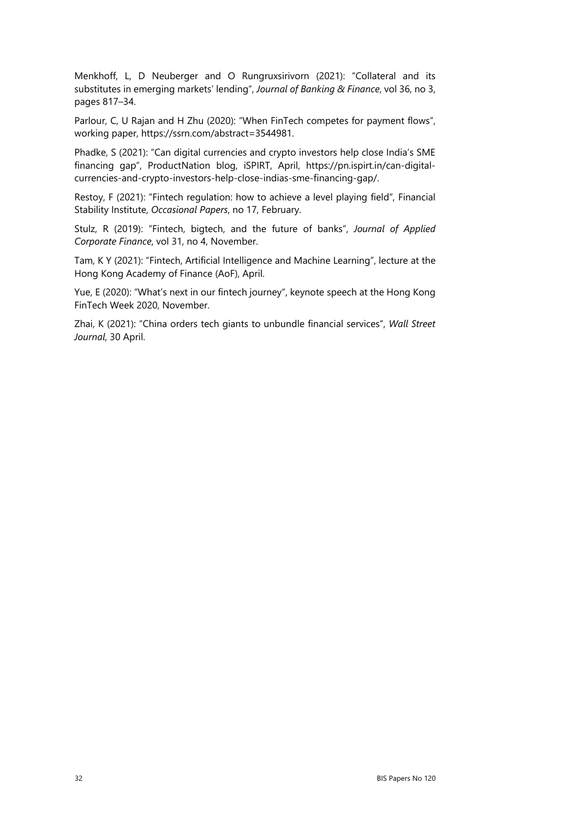Menkhoff, L, D Neuberger and O Rungruxsirivorn (2021): "Collateral and its substitutes in emerging markets' lending", *Journal of Banking & Finance*, vol 36, no 3, pages 817–34.

Parlour, C, U Rajan and H Zhu (2020): "When FinTech competes for payment flows", working paper, [https://ssrn.com/abstract=3544981.](https://ssrn.com/abstract=3544981) 

Phadke, S (2021): "Can digital currencies and crypto investors help close India's SME financing gap", ProductNation blog, iSPIRT, April, [https://pn.ispirt.in/can-digital](https://pn.ispirt.in/can-digital-currencies-and-crypto-investors-help-close-indias-sme-financing-gap/)[currencies-and-crypto-investors-help-close-indias-sme-financing-gap/.](https://pn.ispirt.in/can-digital-currencies-and-crypto-investors-help-close-indias-sme-financing-gap/)

Restoy, F (2021): "Fintech regulation: how to achieve a level playing field", Financial Stability Institute, *Occasional Papers*, no 17, February.

Stulz, R (2019): "Fintech, bigtech, and the future of banks", *Journal of Applied Corporate Finance*, vol 31, no 4, November.

Tam, K Y (2021): "Fintech, Artificial Intelligence and Machine Learning", lecture at the Hong Kong Academy of Finance (AoF), April.

Yue, E (2020): "What's next in our fintech journey", keynote speech at the Hong Kong FinTech Week 2020, November.

Zhai, K (2021): "China orders tech giants to unbundle financial services", *Wall Street Journal*, 30 April.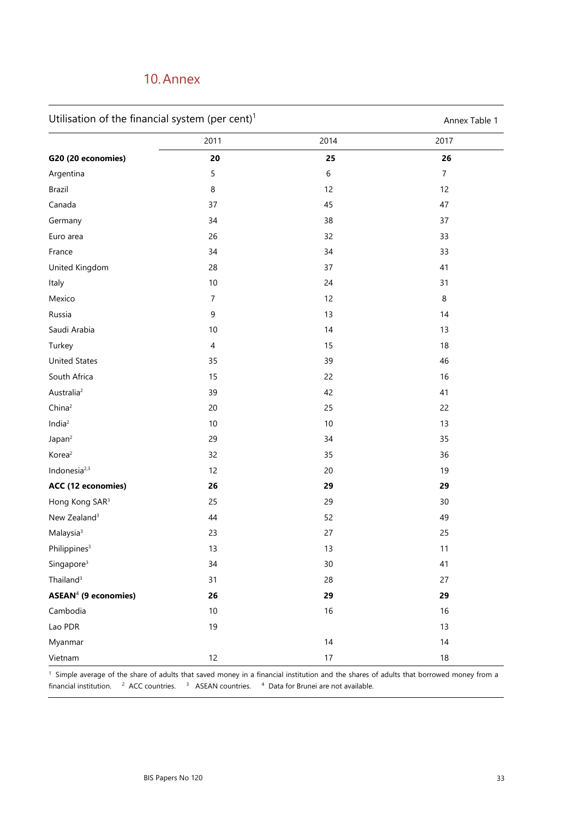# <span id="page-38-0"></span>10. Annex

| Utilisation of the financial system (per cent) <sup>1</sup> | Annex Table 1 |
|-------------------------------------------------------------|---------------|
|-------------------------------------------------------------|---------------|

|                                  | 2011             | 2014    | 2017           |
|----------------------------------|------------------|---------|----------------|
| G20 (20 economies)               | 20               | 25      | 26             |
| Argentina                        | 5                | $\,6\,$ | $\overline{7}$ |
| Brazil                           | $\,8\,$          | 12      | 12             |
| Canada                           | 37               | 45      | 47             |
| Germany                          | 34               | 38      | 37             |
| Euro area                        | 26               | 32      | 33             |
| France                           | 34               | 34      | 33             |
| United Kingdom                   | 28               | 37      | 41             |
| Italy                            | $10\,$           | 24      | 31             |
| Mexico                           | $\overline{7}$   | 12      | 8              |
| Russia                           | $\boldsymbol{9}$ | 13      | 14             |
| Saudi Arabia                     | $10\,$           | 14      | 13             |
| Turkey                           | $\sqrt{4}$       | 15      | 18             |
| <b>United States</b>             | 35               | 39      | 46             |
| South Africa                     | 15               | 22      | 16             |
| Australia <sup>2</sup>           | 39               | 42      | 41             |
| China <sup>2</sup>               | 20               | 25      | 22             |
| India <sup>2</sup>               | $10$             | $10$    | 13             |
| Japan <sup>2</sup>               | 29               | 34      | 35             |
| Korea <sup>2</sup>               | 32               | 35      | 36             |
| Indonesia <sup>2,3</sup>         | 12               | $20\,$  | 19             |
| ACC (12 economies)               | 26               | 29      | 29             |
| Hong Kong SAR <sup>3</sup>       | 25               | 29      | 30             |
| New Zealand <sup>3</sup>         | 44               | 52      | 49             |
| Malaysia <sup>3</sup>            | 23               | 27      | 25             |
| Philippines <sup>3</sup>         | 13               | 13      | 11             |
| Singapore <sup>3</sup>           | 34               | $30\,$  | 41             |
| Thailand <sup>3</sup>            | 31               | 28      | 27             |
| ASEAN <sup>4</sup> (9 economies) | 26               | 29      | 29             |
| Cambodia                         | $10\,$           | 16      | 16             |
| Lao PDR                          | 19               |         | 13             |
| Myanmar                          |                  | 14      | 14             |
| Vietnam                          | 12               | $17\,$  | $18\,$         |

<sup>1</sup> Simple average of the share of adults that saved money in a financial institution and the shares of adults that borrowed money from a financial institution.  $2$  ACC countries.  $3$  ASEAN countries.  $4$  Data for Brunei are not available.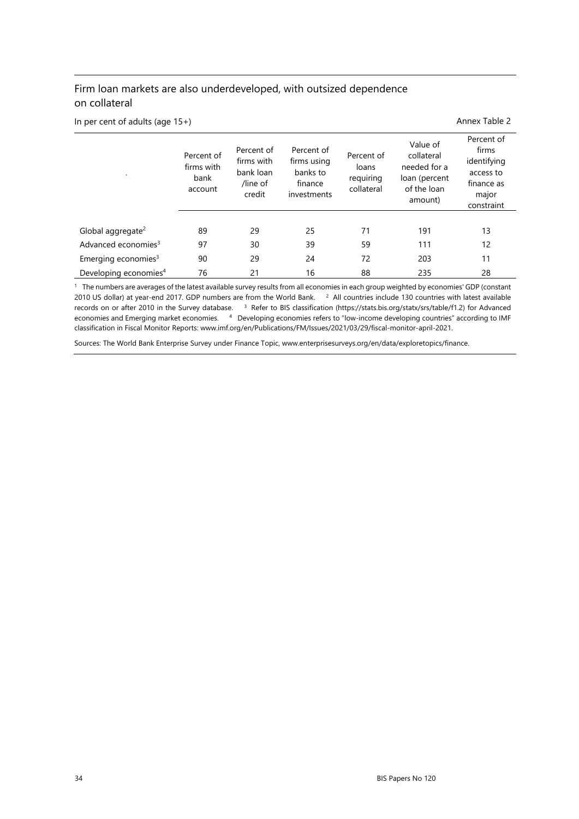### Firm loan markets are also underdeveloped, with outsized dependence on collateral

In per cent of adults (age 15+) Annex Table 2

| $\bullet$                         | Percent of<br>firms with<br>bank<br>account | Percent of<br>firms with<br>bank loan<br>/line of<br>credit | Percent of<br>firms using<br>banks to<br>finance<br>investments | Percent of<br>loans<br>requiring<br>collateral | Value of<br>collateral<br>needed for a<br>loan (percent<br>of the loan<br>amount) | Percent of<br>firms<br>identifying<br>access to<br>finance as<br>major<br>constraint |
|-----------------------------------|---------------------------------------------|-------------------------------------------------------------|-----------------------------------------------------------------|------------------------------------------------|-----------------------------------------------------------------------------------|--------------------------------------------------------------------------------------|
| Global aggregate <sup>2</sup>     | 89                                          | 29                                                          | 25                                                              | 71                                             | 191                                                                               | 13                                                                                   |
| Advanced economies <sup>3</sup>   | 97                                          | 30                                                          | 39                                                              | 59                                             | 111                                                                               | 12                                                                                   |
| Emerging economies $3$            | 90                                          | 29                                                          | 24                                                              | 72                                             | 203                                                                               | 11                                                                                   |
| Developing economies <sup>4</sup> | 76                                          | 21                                                          | 16                                                              | 88                                             | 235                                                                               | 28                                                                                   |

<sup>1</sup> The numbers are averages of the latest available survey results from all economies in each group weighted by economies' GDP (constant 2010 US dollar) at year-end 2017. GDP numbers are from the World Bank.  $2$  All countries include 130 countries with latest available records on or after 2010 in the Survey database. <sup>3</sup> Refer to BIS classification (https://stats.bis.org/statx/srs/table/f1.2) for Advanced economies and Emerging market economies. 4 Developing economies refers to "low-income developing countries" according to IMF classification in Fiscal Monitor Reports: www.imf.org/en/Publications/FM/Issues/2021/03/29/fiscal-monitor-april-2021.

Sources: The World Bank Enterprise Survey under Finance Topic, www.enterprisesurveys.org/en/data/exploretopics/finance.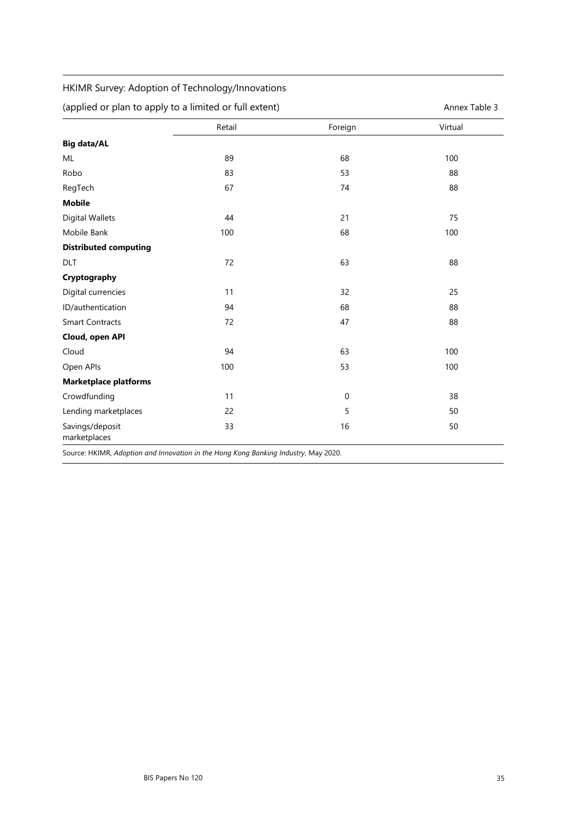### HKIMR Survey: Adoption of Technology/Innovations

| (applied or plan to apply to a limited or full extent) | Annex Table 3 |
|--------------------------------------------------------|---------------|
|--------------------------------------------------------|---------------|

|                                 | Retail | Foreign          | Virtual |
|---------------------------------|--------|------------------|---------|
| <b>Big data/AL</b>              |        |                  |         |
| ML                              | 89     | 68               | 100     |
| Robo                            | 83     | 53               | 88      |
| RegTech                         | 67     | 74               | 88      |
| <b>Mobile</b>                   |        |                  |         |
| Digital Wallets                 | 44     | 21               | 75      |
| Mobile Bank                     | 100    | 68               | 100     |
| <b>Distributed computing</b>    |        |                  |         |
| DLT                             | 72     | 63               | 88      |
| Cryptography                    |        |                  |         |
| Digital currencies              | 11     | 32               | 25      |
| ID/authentication               | 94     | 68               | 88      |
| <b>Smart Contracts</b>          | 72     | 47               | 88      |
| Cloud, open API                 |        |                  |         |
| Cloud                           | 94     | 63               | 100     |
| Open APIs                       | 100    | 53               | 100     |
| <b>Marketplace platforms</b>    |        |                  |         |
| Crowdfunding                    | 11     | $\boldsymbol{0}$ | 38      |
| Lending marketplaces            | 22     | 5                | 50      |
| Savings/deposit<br>marketplaces | 33     | 16               | 50      |

Source: HKIMR, *Adoption and Innovation in the Hong Kong Banking Industry*, May 2020.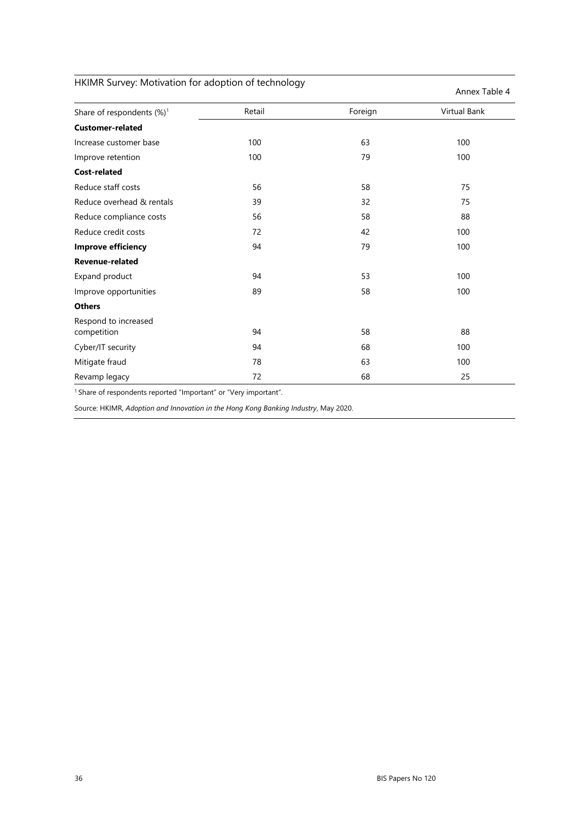| HKIMR Survey: Motivation for adoption of technology |        |         |               |  |  |
|-----------------------------------------------------|--------|---------|---------------|--|--|
|                                                     |        |         | Annex Table 4 |  |  |
| Share of respondents (%) <sup>1</sup>               | Retail | Foreign | Virtual Bank  |  |  |
| <b>Customer-related</b>                             |        |         |               |  |  |
| Increase customer base                              | 100    | 63      | 100           |  |  |
| Improve retention                                   | 100    | 79      | 100           |  |  |
| <b>Cost-related</b>                                 |        |         |               |  |  |
| Reduce staff costs                                  | 56     | 58      | 75            |  |  |
| Reduce overhead & rentals                           | 39     | 32      | 75            |  |  |
| Reduce compliance costs                             | 56     | 58      | 88            |  |  |
| Reduce credit costs                                 | 72     | 42      | 100           |  |  |
| <b>Improve efficiency</b>                           | 94     | 79      | 100           |  |  |
| <b>Revenue-related</b>                              |        |         |               |  |  |
| Expand product                                      | 94     | 53      | 100           |  |  |
| Improve opportunities                               | 89     | 58      | 100           |  |  |
| <b>Others</b>                                       |        |         |               |  |  |
| Respond to increased<br>competition                 | 94     | 58      | 88            |  |  |
| Cyber/IT security                                   | 94     | 68      | 100           |  |  |
| Mitigate fraud                                      | 78     | 63      | 100           |  |  |
| Revamp legacy                                       | 72     | 68      | 25            |  |  |

<sup>1</sup> Share of respondents reported "Important" or "Very important".

Source: HKIMR, *Adoption and Innovation in the Hong Kong Banking Industry*, May 2020.

36 BIS Papers No 120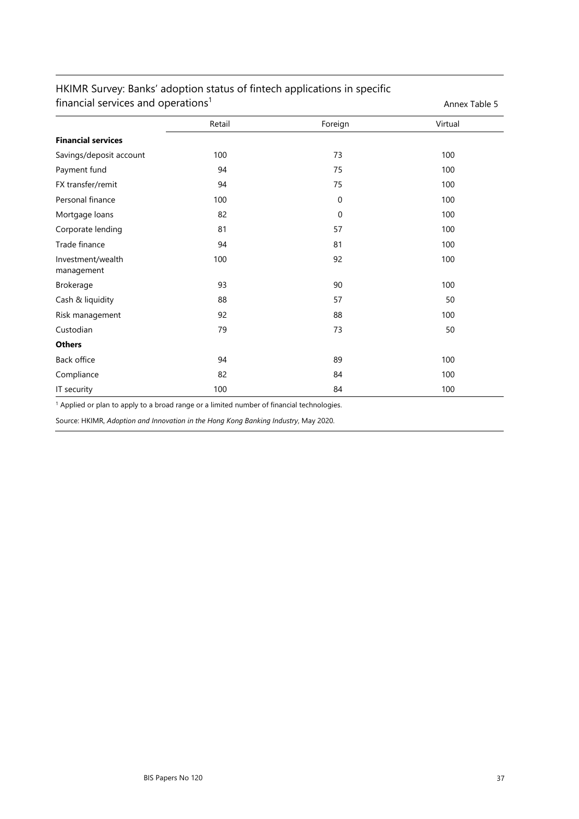| manda services and operations   | <b>ATTICA TODIC J</b> |                  |         |
|---------------------------------|-----------------------|------------------|---------|
|                                 | Retail                | Foreign          | Virtual |
| <b>Financial services</b>       |                       |                  |         |
| Savings/deposit account         | 100                   | 73               | 100     |
| Payment fund                    | 94                    | 75               | 100     |
| FX transfer/remit               | 94                    | 75               | 100     |
| Personal finance                | 100                   | $\boldsymbol{0}$ | 100     |
| Mortgage loans                  | 82                    | $\mathbf 0$      | 100     |
| Corporate lending               | 81                    | 57               | 100     |
| Trade finance                   | 94                    | 81               | 100     |
| Investment/wealth<br>management | 100                   | 92               | 100     |
| Brokerage                       | 93                    | 90               | 100     |
| Cash & liquidity                | 88                    | 57               | 50      |
| Risk management                 | 92                    | 88               | 100     |
| Custodian                       | 79                    | 73               | 50      |
| <b>Others</b>                   |                       |                  |         |
| Back office                     | 94                    | 89               | 100     |
| Compliance                      | 82                    | 84               | 100     |
| IT security                     | 100                   | 84               | 100     |

### HKIMR Survey: Banks' adoption status of fintech applications in specific financial services and operations<sup>1</sup> Annex Table 5

<sup>1</sup> Applied or plan to apply to a broad range or a limited number of financial technologies.

Source: HKIMR, *Adoption and Innovation in the Hong Kong Banking Industry*, May 2020.